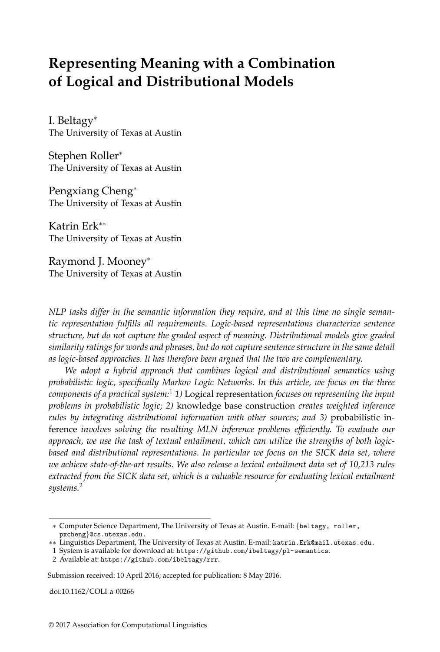# **Representing Meaning with a Combination of Logical and Distributional Models**

I. Beltagy<sup>∗</sup> The University of Texas at Austin

Stephen Roller<sup>∗</sup> The University of Texas at Austin

Pengxiang Cheng<sup>∗</sup> The University of Texas at Austin

Katrin Erk∗∗ The University of Texas at Austin

Raymond J. Mooney<sup>∗</sup> The University of Texas at Austin

*NLP tasks differ in the semantic information they require, and at this time no single semantic representation fulfills all requirements. Logic-based representations characterize sentence structure, but do not capture the graded aspect of meaning. Distributional models give graded similarity ratings for words and phrases, but do not capture sentence structure in the same detail as logic-based approaches. It has therefore been argued that the two are complementary.*

*We adopt a hybrid approach that combines logical and distributional semantics using probabilistic logic, specifically Markov Logic Networks. In this article, we focus on the three components of a practical system:*<sup>1</sup> *1)* Logical representation *focuses on representing the input problems in probabilistic logic; 2)* knowledge base construction *creates weighted inference rules by integrating distributional information with other sources; and 3)* probabilistic inference *involves solving the resulting MLN inference problems efficiently. To evaluate our approach, we use the task of textual entailment, which can utilize the strengths of both logicbased and distributional representations. In particular we focus on the SICK data set, where we achieve state-of-the-art results. We also release a lexical entailment data set of 10,213 rules extracted from the SICK data set, which is a valuable resource for evaluating lexical entailment systems.*<sup>2</sup>

Submission received: 10 April 2016; accepted for publication: 8 May 2016.

doi:10.1162/COLI\_a\_00266

<sup>∗</sup> Computer Science Department, The University of Texas at Austin. E-mail: {beltagy, roller, pxcheng}@cs.utexas.edu.

<sup>∗∗</sup> Linguistics Department, The University of Texas at Austin. E-mail: katrin.Erk@mail.utexas.edu.

<sup>1</sup> System is available for download at: https://github.com/ibeltagy/pl-semantics.

<sup>2</sup> Available at: https://github.com/ibeltagy/rrr.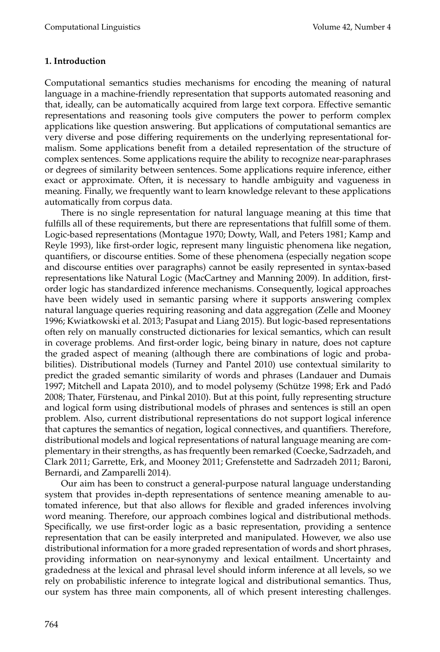## **1. Introduction**

Computational semantics studies mechanisms for encoding the meaning of natural language in a machine-friendly representation that supports automated reasoning and that, ideally, can be automatically acquired from large text corpora. Effective semantic representations and reasoning tools give computers the power to perform complex applications like question answering. But applications of computational semantics are very diverse and pose differing requirements on the underlying representational formalism. Some applications benefit from a detailed representation of the structure of complex sentences. Some applications require the ability to recognize near-paraphrases or degrees of similarity between sentences. Some applications require inference, either exact or approximate. Often, it is necessary to handle ambiguity and vagueness in meaning. Finally, we frequently want to learn knowledge relevant to these applications automatically from corpus data.

There is no single representation for natural language meaning at this time that fulfills all of these requirements, but there are representations that fulfill some of them. Logic-based representations (Montague 1970; Dowty, Wall, and Peters 1981; Kamp and Reyle 1993), like first-order logic, represent many linguistic phenomena like negation, quantifiers, or discourse entities. Some of these phenomena (especially negation scope and discourse entities over paragraphs) cannot be easily represented in syntax-based representations like Natural Logic (MacCartney and Manning 2009). In addition, firstorder logic has standardized inference mechanisms. Consequently, logical approaches have been widely used in semantic parsing where it supports answering complex natural language queries requiring reasoning and data aggregation (Zelle and Mooney 1996; Kwiatkowski et al. 2013; Pasupat and Liang 2015). But logic-based representations often rely on manually constructed dictionaries for lexical semantics, which can result in coverage problems. And first-order logic, being binary in nature, does not capture the graded aspect of meaning (although there are combinations of logic and probabilities). Distributional models (Turney and Pantel 2010) use contextual similarity to predict the graded semantic similarity of words and phrases (Landauer and Dumais 1997; Mitchell and Lapata 2010), and to model polysemy (Schütze 1998; Erk and Padó 2008; Thater, Fürstenau, and Pinkal 2010). But at this point, fully representing structure and logical form using distributional models of phrases and sentences is still an open problem. Also, current distributional representations do not support logical inference that captures the semantics of negation, logical connectives, and quantifiers. Therefore, distributional models and logical representations of natural language meaning are complementary in their strengths, as has frequently been remarked (Coecke, Sadrzadeh, and Clark 2011; Garrette, Erk, and Mooney 2011; Grefenstette and Sadrzadeh 2011; Baroni, Bernardi, and Zamparelli 2014).

Our aim has been to construct a general-purpose natural language understanding system that provides in-depth representations of sentence meaning amenable to automated inference, but that also allows for flexible and graded inferences involving word meaning. Therefore, our approach combines logical and distributional methods. Specifically, we use first-order logic as a basic representation, providing a sentence representation that can be easily interpreted and manipulated. However, we also use distributional information for a more graded representation of words and short phrases, providing information on near-synonymy and lexical entailment. Uncertainty and gradedness at the lexical and phrasal level should inform inference at all levels, so we rely on probabilistic inference to integrate logical and distributional semantics. Thus, our system has three main components, all of which present interesting challenges.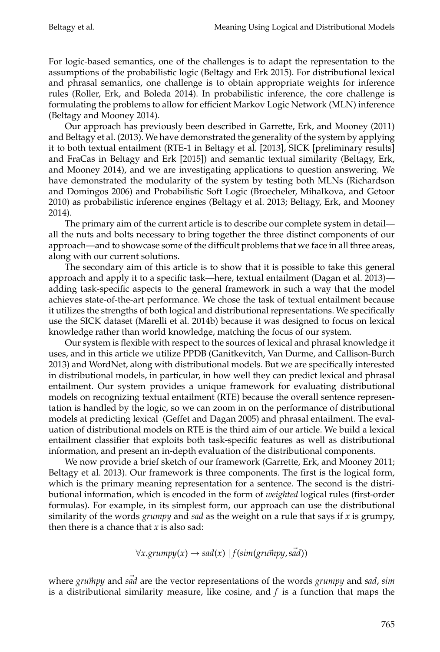For logic-based semantics, one of the challenges is to adapt the representation to the assumptions of the probabilistic logic (Beltagy and Erk 2015). For distributional lexical and phrasal semantics, one challenge is to obtain appropriate weights for inference rules (Roller, Erk, and Boleda 2014). In probabilistic inference, the core challenge is formulating the problems to allow for efficient Markov Logic Network (MLN) inference (Beltagy and Mooney 2014).

Our approach has previously been described in Garrette, Erk, and Mooney (2011) and Beltagy et al. (2013). We have demonstrated the generality of the system by applying it to both textual entailment (RTE-1 in Beltagy et al. [2013], SICK [preliminary results] and FraCas in Beltagy and Erk [2015]) and semantic textual similarity (Beltagy, Erk, and Mooney 2014), and we are investigating applications to question answering. We have demonstrated the modularity of the system by testing both MLNs (Richardson and Domingos 2006) and Probabilistic Soft Logic (Broecheler, Mihalkova, and Getoor 2010) as probabilistic inference engines (Beltagy et al. 2013; Beltagy, Erk, and Mooney 2014).

The primary aim of the current article is to describe our complete system in detail all the nuts and bolts necessary to bring together the three distinct components of our approach—and to showcase some of the difficult problems that we face in all three areas, along with our current solutions.

The secondary aim of this article is to show that it is possible to take this general approach and apply it to a specific task—here, textual entailment (Dagan et al. 2013) adding task-specific aspects to the general framework in such a way that the model achieves state-of-the-art performance. We chose the task of textual entailment because it utilizes the strengths of both logical and distributional representations. We specifically use the SICK dataset (Marelli et al. 2014b) because it was designed to focus on lexical knowledge rather than world knowledge, matching the focus of our system.

Our system is flexible with respect to the sources of lexical and phrasal knowledge it uses, and in this article we utilize PPDB (Ganitkevitch, Van Durme, and Callison-Burch 2013) and WordNet, along with distributional models. But we are specifically interested in distributional models, in particular, in how well they can predict lexical and phrasal entailment. Our system provides a unique framework for evaluating distributional models on recognizing textual entailment (RTE) because the overall sentence representation is handled by the logic, so we can zoom in on the performance of distributional models at predicting lexical (Geffet and Dagan 2005) and phrasal entailment. The evaluation of distributional models on RTE is the third aim of our article. We build a lexical entailment classifier that exploits both task-specific features as well as distributional information, and present an in-depth evaluation of the distributional components.

We now provide a brief sketch of our framework (Garrette, Erk, and Mooney 2011; Beltagy et al. 2013). Our framework is three components. The first is the logical form, which is the primary meaning representation for a sentence. The second is the distributional information, which is encoded in the form of *weighted* logical rules (first-order formulas). For example, in its simplest form, our approach can use the distributional similarity of the words *grumpy* and *sad* as the weight on a rule that says if *x* is grumpy, then there is a chance that  $x$  is also sad:

 $\forall x \, \text{grump}(x) \rightarrow \text{sad}(x) \mid f(\text{sim}(\text{grumpy}, \text{sad}))$ 

where *grumpy* and *sad* are the vector representations of the words *grumpy* and *sad*, *sim* is a distributional similarity measure, like cosine, and *f* is a function that maps the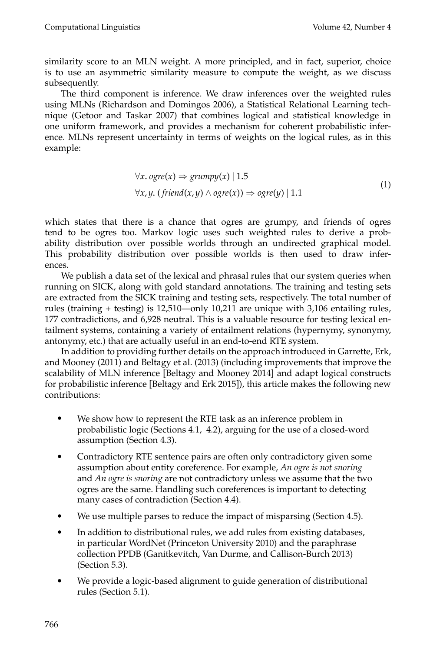similarity score to an MLN weight. A more principled, and in fact, superior, choice is to use an asymmetric similarity measure to compute the weight, as we discuss subsequently.

The third component is inference. We draw inferences over the weighted rules using MLNs (Richardson and Domingos 2006), a Statistical Relational Learning technique (Getoor and Taskar 2007) that combines logical and statistical knowledge in one uniform framework, and provides a mechanism for coherent probabilistic inference. MLNs represent uncertainty in terms of weights on the logical rules, as in this example:

∀*x*. *ogre*(*x*) ⇒ *grumpy*(*x*) | 1.5 ∀*x*, *y*. ( *friend*(*x*, *y*) ∧ *ogre*(*x*)) ⇒ *ogre*(*y*) | 1.1 (1)

which states that there is a chance that ogres are grumpy, and friends of ogres tend to be ogres too. Markov logic uses such weighted rules to derive a probability distribution over possible worlds through an undirected graphical model. This probability distribution over possible worlds is then used to draw inferences.

We publish a data set of the lexical and phrasal rules that our system queries when running on SICK, along with gold standard annotations. The training and testing sets are extracted from the SICK training and testing sets, respectively. The total number of rules (training + testing) is 12,510—only 10,211 are unique with 3,106 entailing rules, 177 contradictions, and 6,928 neutral. This is a valuable resource for testing lexical entailment systems, containing a variety of entailment relations (hypernymy, synonymy, antonymy, etc.) that are actually useful in an end-to-end RTE system.

In addition to providing further details on the approach introduced in Garrette, Erk, and Mooney (2011) and Beltagy et al. (2013) (including improvements that improve the scalability of MLN inference [Beltagy and Mooney 2014] and adapt logical constructs for probabilistic inference [Beltagy and Erk 2015]), this article makes the following new contributions:

- We show how to represent the RTE task as an inference problem in probabilistic logic (Sections 4.1, 4.2), arguing for the use of a closed-word assumption (Section 4.3).
- Contradictory RTE sentence pairs are often only contradictory given some assumption about entity coreference. For example, *An ogre is not snoring* and *An ogre is snoring* are not contradictory unless we assume that the two ogres are the same. Handling such coreferences is important to detecting many cases of contradiction (Section 4.4).
- We use multiple parses to reduce the impact of misparsing (Section 4.5).
- r In addition to distributional rules, we add rules from existing databases, in particular WordNet (Princeton University 2010) and the paraphrase collection PPDB (Ganitkevitch, Van Durme, and Callison-Burch 2013) (Section 5.3).
- We provide a logic-based alignment to guide generation of distributional rules (Section 5.1).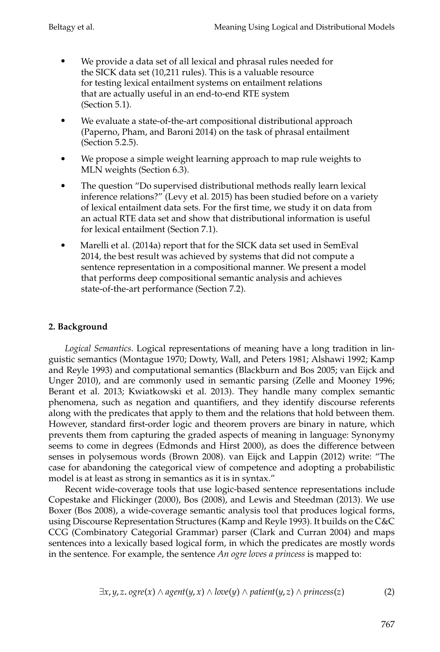- We provide a data set of all lexical and phrasal rules needed for the SICK data set (10,211 rules). This is a valuable resource for testing lexical entailment systems on entailment relations that are actually useful in an end-to-end RTE system (Section 5.1).
- We evaluate a state-of-the-art compositional distributional approach (Paperno, Pham, and Baroni 2014) on the task of phrasal entailment (Section 5.2.5).
- We propose a simple weight learning approach to map rule weights to MLN weights (Section 6.3).
- The question "Do supervised distributional methods really learn lexical inference relations?" (Levy et al. 2015) has been studied before on a variety of lexical entailment data sets. For the first time, we study it on data from an actual RTE data set and show that distributional information is useful for lexical entailment (Section 7.1).
- Marelli et al. (2014a) report that for the SICK data set used in SemEval 2014, the best result was achieved by systems that did not compute a sentence representation in a compositional manner. We present a model that performs deep compositional semantic analysis and achieves state-of-the-art performance (Section 7.2).

# **2. Background**

*Logical Semantics.* Logical representations of meaning have a long tradition in linguistic semantics (Montague 1970; Dowty, Wall, and Peters 1981; Alshawi 1992; Kamp and Reyle 1993) and computational semantics (Blackburn and Bos 2005; van Eijck and Unger 2010), and are commonly used in semantic parsing (Zelle and Mooney 1996; Berant et al. 2013; Kwiatkowski et al. 2013). They handle many complex semantic phenomena, such as negation and quantifiers, and they identify discourse referents along with the predicates that apply to them and the relations that hold between them. However, standard first-order logic and theorem provers are binary in nature, which prevents them from capturing the graded aspects of meaning in language: Synonymy seems to come in degrees (Edmonds and Hirst 2000), as does the difference between senses in polysemous words (Brown 2008). van Eijck and Lappin (2012) write: "The case for abandoning the categorical view of competence and adopting a probabilistic model is at least as strong in semantics as it is in syntax."

Recent wide-coverage tools that use logic-based sentence representations include Copestake and Flickinger (2000), Bos (2008), and Lewis and Steedman (2013). We use Boxer (Bos 2008), a wide-coverage semantic analysis tool that produces logical forms, using Discourse Representation Structures (Kamp and Reyle 1993). It builds on the C&C CCG (Combinatory Categorial Grammar) parser (Clark and Curran 2004) and maps sentences into a lexically based logical form, in which the predicates are mostly words in the sentence. For example, the sentence *An ogre loves a princess* is mapped to:

$$
\exists x, y, z.\text{ ogre}(x) \land \text{ agent}(y, x) \land \text{love}(y) \land \text{ patient}(y, z) \land \text{ princes}(z) \tag{2}
$$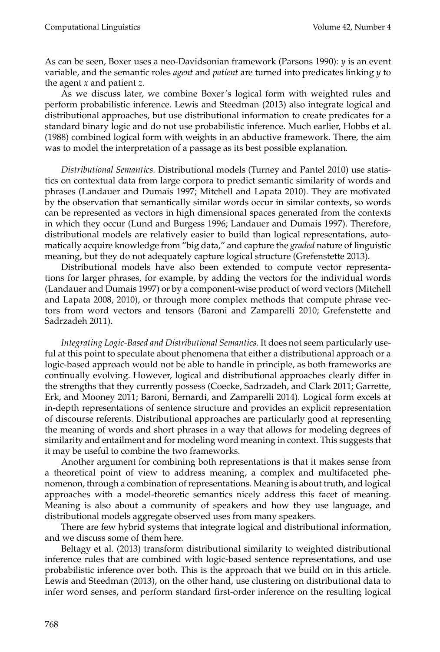As can be seen, Boxer uses a neo-Davidsonian framework (Parsons 1990): *y* is an event variable, and the semantic roles *agent* and *patient* are turned into predicates linking *y* to the agent *x* and patient *z*.

As we discuss later, we combine Boxer's logical form with weighted rules and perform probabilistic inference. Lewis and Steedman (2013) also integrate logical and distributional approaches, but use distributional information to create predicates for a standard binary logic and do not use probabilistic inference. Much earlier, Hobbs et al. (1988) combined logical form with weights in an abductive framework. There, the aim was to model the interpretation of a passage as its best possible explanation.

*Distributional Semantics.* Distributional models (Turney and Pantel 2010) use statistics on contextual data from large corpora to predict semantic similarity of words and phrases (Landauer and Dumais 1997; Mitchell and Lapata 2010). They are motivated by the observation that semantically similar words occur in similar contexts, so words can be represented as vectors in high dimensional spaces generated from the contexts in which they occur (Lund and Burgess 1996; Landauer and Dumais 1997). Therefore, distributional models are relatively easier to build than logical representations, automatically acquire knowledge from "big data," and capture the *graded* nature of linguistic meaning, but they do not adequately capture logical structure (Grefenstette 2013).

Distributional models have also been extended to compute vector representations for larger phrases, for example, by adding the vectors for the individual words (Landauer and Dumais 1997) or by a component-wise product of word vectors (Mitchell and Lapata 2008, 2010), or through more complex methods that compute phrase vectors from word vectors and tensors (Baroni and Zamparelli 2010; Grefenstette and Sadrzadeh 2011).

*Integrating Logic-Based and Distributional Semantics.* It does not seem particularly useful at this point to speculate about phenomena that either a distributional approach or a logic-based approach would not be able to handle in principle, as both frameworks are continually evolving. However, logical and distributional approaches clearly differ in the strengths that they currently possess (Coecke, Sadrzadeh, and Clark 2011; Garrette, Erk, and Mooney 2011; Baroni, Bernardi, and Zamparelli 2014). Logical form excels at in-depth representations of sentence structure and provides an explicit representation of discourse referents. Distributional approaches are particularly good at representing the meaning of words and short phrases in a way that allows for modeling degrees of similarity and entailment and for modeling word meaning in context. This suggests that it may be useful to combine the two frameworks.

Another argument for combining both representations is that it makes sense from a theoretical point of view to address meaning, a complex and multifaceted phenomenon, through a combination of representations. Meaning is about truth, and logical approaches with a model-theoretic semantics nicely address this facet of meaning. Meaning is also about a community of speakers and how they use language, and distributional models aggregate observed uses from many speakers.

There are few hybrid systems that integrate logical and distributional information, and we discuss some of them here.

Beltagy et al. (2013) transform distributional similarity to weighted distributional inference rules that are combined with logic-based sentence representations, and use probabilistic inference over both. This is the approach that we build on in this article. Lewis and Steedman (2013), on the other hand, use clustering on distributional data to infer word senses, and perform standard first-order inference on the resulting logical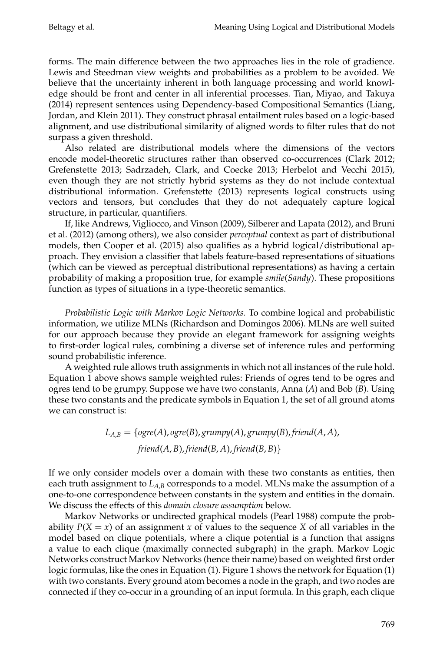forms. The main difference between the two approaches lies in the role of gradience. Lewis and Steedman view weights and probabilities as a problem to be avoided. We believe that the uncertainty inherent in both language processing and world knowledge should be front and center in all inferential processes. Tian, Miyao, and Takuya (2014) represent sentences using Dependency-based Compositional Semantics (Liang, Jordan, and Klein 2011). They construct phrasal entailment rules based on a logic-based alignment, and use distributional similarity of aligned words to filter rules that do not surpass a given threshold.

Also related are distributional models where the dimensions of the vectors encode model-theoretic structures rather than observed co-occurrences (Clark 2012; Grefenstette 2013; Sadrzadeh, Clark, and Coecke 2013; Herbelot and Vecchi 2015), even though they are not strictly hybrid systems as they do not include contextual distributional information. Grefenstette (2013) represents logical constructs using vectors and tensors, but concludes that they do not adequately capture logical structure, in particular, quantifiers.

If, like Andrews, Vigliocco, and Vinson (2009), Silberer and Lapata (2012), and Bruni et al. (2012) (among others), we also consider *perceptual* context as part of distributional models, then Cooper et al. (2015) also qualifies as a hybrid logical/distributional approach. They envision a classifier that labels feature-based representations of situations (which can be viewed as perceptual distributional representations) as having a certain probability of making a proposition true, for example *smile*(*Sandy*). These propositions function as types of situations in a type-theoretic semantics.

*Probabilistic Logic with Markov Logic Networks.* To combine logical and probabilistic information, we utilize MLNs (Richardson and Domingos 2006). MLNs are well suited for our approach because they provide an elegant framework for assigning weights to first-order logical rules, combining a diverse set of inference rules and performing sound probabilistic inference.

A weighted rule allows truth assignments in which not all instances of the rule hold. Equation 1 above shows sample weighted rules: Friends of ogres tend to be ogres and ogres tend to be grumpy. Suppose we have two constants, Anna (*A*) and Bob (*B*). Using these two constants and the predicate symbols in Equation 1, the set of all ground atoms we can construct is:

> $L_{A,B} = \{ogre(A), ogre(B), grump(A), grump(B), friend(A, A),$ *friend*(*A*, *B*), *friend*(*B*, *A*), *friend*(*B*, *B*)}

If we only consider models over a domain with these two constants as entities, then each truth assignment to  $L_{AB}$  corresponds to a model. MLNs make the assumption of a one-to-one correspondence between constants in the system and entities in the domain. We discuss the effects of this *domain closure assumption* below.

Markov Networks or undirected graphical models (Pearl 1988) compute the probability  $P(X = x)$  of an assignment *x* of values to the sequence *X* of all variables in the model based on clique potentials, where a clique potential is a function that assigns a value to each clique (maximally connected subgraph) in the graph. Markov Logic Networks construct Markov Networks (hence their name) based on weighted first order logic formulas, like the ones in Equation (1). Figure 1 shows the network for Equation (1) with two constants. Every ground atom becomes a node in the graph, and two nodes are connected if they co-occur in a grounding of an input formula. In this graph, each clique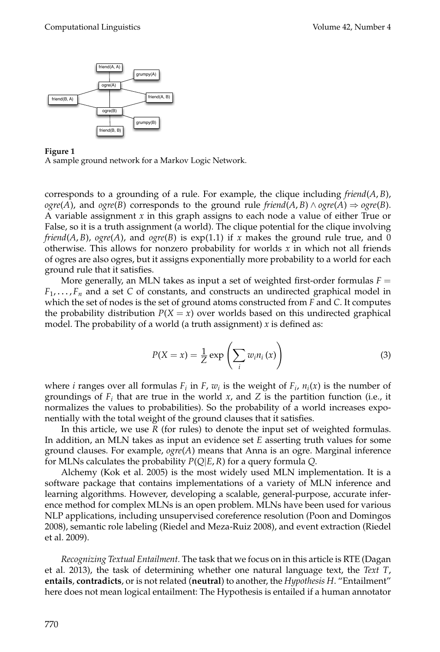

**Figure 1**

A sample ground network for a Markov Logic Network.

corresponds to a grounding of a rule. For example, the clique including  $friend(A, B)$ ,  $o$ *gre*(*A*), and  $o$ *gre*(*B*) corresponds to the ground rule *friend*(*A*, *B*)  $\land$   $o$ *gre*(*A*)  $\Rightarrow$   $o$ *gre*(*B*). A variable assignment *x* in this graph assigns to each node a value of either True or False, so it is a truth assignment (a world). The clique potential for the clique involving *friend*( $A$ ,  $B$ ),  $ogre(A)$ , and  $ogre(B)$  is  $exp(1.1)$  if *x* makes the ground rule true, and 0 otherwise. This allows for nonzero probability for worlds *x* in which not all friends of ogres are also ogres, but it assigns exponentially more probability to a world for each ground rule that it satisfies.

More generally, an MLN takes as input a set of weighted first-order formulas  $F =$ *F*1 , . . . , *F<sup>n</sup>* and a set *C* of constants, and constructs an undirected graphical model in which the set of nodes is the set of ground atoms constructed from *F* and *C*. It computes the probability distribution  $P(X = x)$  over worlds based on this undirected graphical model. The probability of a world (a truth assignment) *x* is defined as:

$$
P(X = x) = \frac{1}{Z} \exp\left(\sum_{i} w_{i} n_{i}(x)\right)
$$
 (3)

where *i* ranges over all formulas  $F_i$  in  $F$ ,  $w_i$  is the weight of  $F_i$ ,  $n_i(x)$  is the number of groundings of  $F_i$  that are true in the world  $x$ , and  $Z$  is the partition function (i.e., it normalizes the values to probabilities). So the probability of a world increases exponentially with the total weight of the ground clauses that it satisfies.

In this article, we use *R* (for rules) to denote the input set of weighted formulas. In addition, an MLN takes as input an evidence set *E* asserting truth values for some ground clauses. For example, *ogre*(*A*) means that Anna is an ogre. Marginal inference for MLNs calculates the probability *P*(*Q*|*E*,*R*) for a query formula *Q*.

Alchemy (Kok et al. 2005) is the most widely used MLN implementation. It is a software package that contains implementations of a variety of MLN inference and learning algorithms. However, developing a scalable, general-purpose, accurate inference method for complex MLNs is an open problem. MLNs have been used for various NLP applications, including unsupervised coreference resolution (Poon and Domingos 2008), semantic role labeling (Riedel and Meza-Ruiz 2008), and event extraction (Riedel et al. 2009).

*Recognizing Textual Entailment.* The task that we focus on in this article is RTE (Dagan et al. 2013), the task of determining whether one natural language text, the *Text T*, **entails**, **contradicts**, or is not related (**neutral**) to another, the *Hypothesis H*. "Entailment" here does not mean logical entailment: The Hypothesis is entailed if a human annotator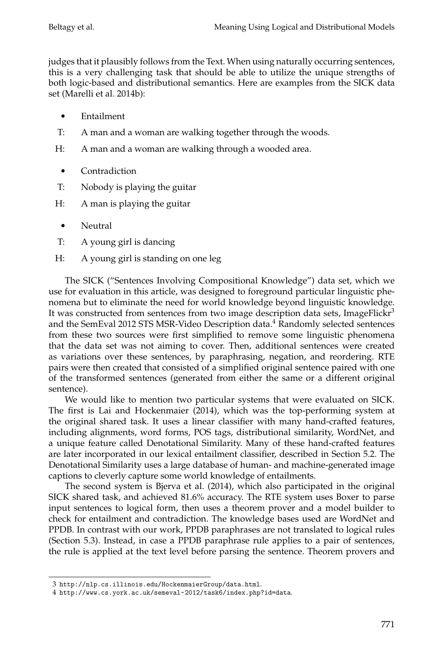judges that it plausibly follows from the Text. When using naturally occurring sentences, this is a very challenging task that should be able to utilize the unique strengths of both logic-based and distributional semantics. Here are examples from the SICK data set (Marelli et al. 2014b):

- Entailment
- T: A man and a woman are walking together through the woods.
- H: A man and a woman are walking through a wooded area.
	- Contradiction
- T: Nobody is playing the guitar
- H: A man is playing the guitar
	- Neutral
- T: A young girl is dancing
- H: A young girl is standing on one leg

The SICK ("Sentences Involving Compositional Knowledge") data set, which we use for evaluation in this article, was designed to foreground particular linguistic phenomena but to eliminate the need for world knowledge beyond linguistic knowledge. It was constructed from sentences from two image description data sets, ImageFlickr<sup>3</sup> and the SemEval 2012 STS MSR-Video Description data.<sup>4</sup> Randomly selected sentences from these two sources were first simplified to remove some linguistic phenomena that the data set was not aiming to cover. Then, additional sentences were created as variations over these sentences, by paraphrasing, negation, and reordering. RTE pairs were then created that consisted of a simplified original sentence paired with one of the transformed sentences (generated from either the same or a different original sentence).

We would like to mention two particular systems that were evaluated on SICK. The first is Lai and Hockenmaier (2014), which was the top-performing system at the original shared task. It uses a linear classifier with many hand-crafted features, including alignments, word forms, POS tags, distributional similarity, WordNet, and a unique feature called Denotational Similarity. Many of these hand-crafted features are later incorporated in our lexical entailment classifier, described in Section 5.2. The Denotational Similarity uses a large database of human- and machine-generated image captions to cleverly capture some world knowledge of entailments.

The second system is Bjerva et al. (2014), which also participated in the original SICK shared task, and achieved 81.6% accuracy. The RTE system uses Boxer to parse input sentences to logical form, then uses a theorem prover and a model builder to check for entailment and contradiction. The knowledge bases used are WordNet and PPDB. In contrast with our work, PPDB paraphrases are not translated to logical rules (Section 5.3). Instead, in case a PPDB paraphrase rule applies to a pair of sentences, the rule is applied at the text level before parsing the sentence. Theorem provers and

<sup>3</sup> http://nlp.cs.illinois.edu/HockenmaierGroup/data.html.

<sup>4</sup> http://www.cs.york.ac.uk/semeval-2012/task6/index.php?id=data.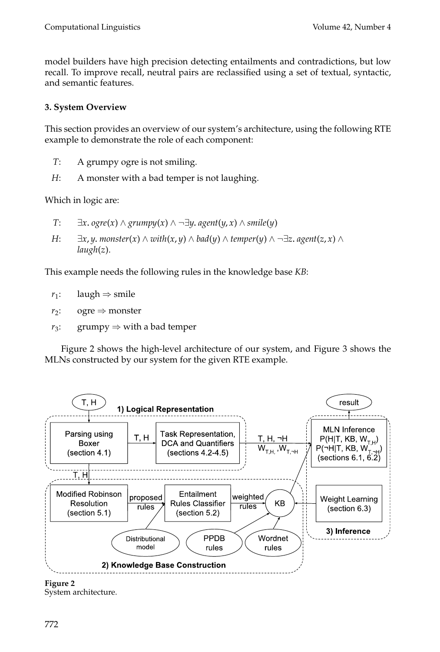model builders have high precision detecting entailments and contradictions, but low recall. To improve recall, neutral pairs are reclassified using a set of textual, syntactic, and semantic features.

# **3. System Overview**

This section provides an overview of our system's architecture, using the following RTE example to demonstrate the role of each component:

- *T*: A grumpy ogre is not smiling.
- *H*: A monster with a bad temper is not laughing.

Which in logic are:

- *T*:  $\exists x. \text{ ogre}(x) \land \text{ grump}(x) \land \neg \exists y. \text{ agent}(y, x) \land \text{ smile}(y)$
- *H*:  $\exists x, y$ . *monster*(*x*) ∧ *with*(*x*, *y*) ∧ *bad*(*y*) ∧ *temper*(*y*) ∧ ¬ $\exists z$ . *agent*(*z*, *x*) ∧ *laugh*(*z*).

This example needs the following rules in the knowledge base *KB*:

- $r_1$ : laugh  $\Rightarrow$  smile
- *r*2  $ogre \Rightarrow$  monster
- *r*3  $grumpy \Rightarrow with a bad temper$

Figure 2 shows the high-level architecture of our system, and Figure 3 shows the MLNs constructed by our system for the given RTE example.



**Figure 2** System architecture.

772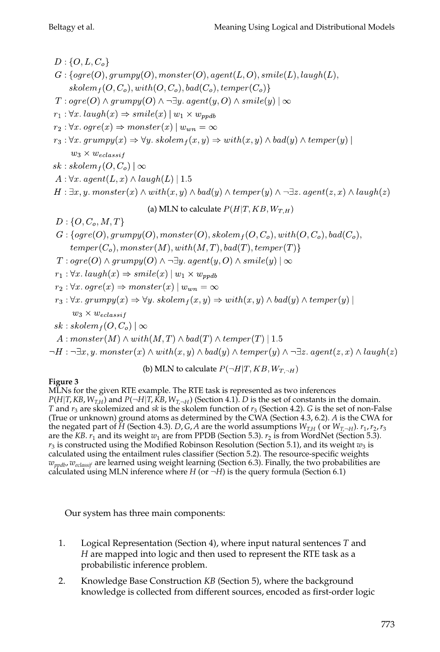$D: \{O, L, C_o\}$  $G: \{ogre(O), grumpy(O), monster(O), agent(L, O), smile(L), laugh(L),$  $skolem_f(O, C_o), with (O, C_o), bad(C_o), temper(C_o)$  $T: ogre(O) \wedge grumpy(O) \wedge \neg \exists y. agent(y, O) \wedge smile(y) | \infty$  $r_1 : \forall x. \, \textit{laugh}(x) \Rightarrow \textit{smile}(x) \mid w_1 \times w_{\textit{prodb}}$  $r_2 : \forall x. \text{ ogre}(x) \Rightarrow \text{monster}(x) \mid w_{wn} = \infty$  $r_3 : \forall x. \; grumpy(x) \Rightarrow \forall y. \; skolem_f(x, y) \Rightarrow with(x, y) \land bad(y) \land temper(y)$  $w_3 \times w_{eclassif}$  $sk : skolem<sub>f</sub>(O, C<sub>o</sub>) | \infty$  $A: \forall x. agent(L, x) \land laugh(L) | 1.5$  $H: \exists x, y.$  monster(x)  $\wedge$  with(x, y)  $\wedge$  bad(y)  $\wedge$  temper(y)  $\wedge \neg \exists z.$  agent(z, x)  $\wedge$  laugh(z) (a) MLN to calculate  $P(H|T, KB, W_{T,H})$  $D: \{O, C_o, M, T\}$  $G: \{ogre(O), grumpy(O), \text{monster}(O), \text{skolem}_f(O, C_o), \text{with}(O, C_o), \text{bad}(C_o),\}$  $temperature(C_o),$  monster(M), with(M,T), bad(T), temper(T)}  $T: ogre(O) \wedge grumpy(O) \wedge \neg \exists y. agent(y, O) \wedge smile(y) \mid \infty$  $r_1 : \forall x. \, \textit{laugh}(x) \Rightarrow \textit{smile}(x) \mid w_1 \times w_{\textit{pndb}}$  $r_2 : \forall x. \text{ ogre}(x) \Rightarrow \text{monster}(x) \mid w_{wn} = \infty$  $r_3: \forall x. \, grumpy(x) \Rightarrow \forall y. \, skolem_f(x, y) \Rightarrow with(x, y) \land bad(y) \land temper(y)$  $w_3 \times w_{eclassif}$  $sk : skolem_f(O, C_o) \mid \infty$  $A: monster(M) \wedge with(M,T) \wedge bad(T) \wedge temper(T) | 1.5$  $\neg H : \exists x, y. \, \textit{monster}(x) \land \textit{with}(x, y) \land \textit{bad}(y) \land \textit{temper}(y) \land \neg \exists z. \, \textit{agent}(z, x) \land \textit{laugh}(z)$ (b) MLN to calculate  $P(\neg H|T, KB, W_{T, \neg H})$ 

# **Figure 3**

MLNs for the given RTE example. The RTE task is represented as two inferences  $P(H|T,KB,W_{TH})$  and  $P(\neg H|T,\overline{KB},W_{T,\neg H})$  (Section 4.1). *D* is the set of constants in the domain. *T* and *r*<sup>3</sup> are skolemized and *sk* is the skolem function of *r*<sup>3</sup> (Section 4.2). *G* is the set of non-False (True or unknown) ground atoms as determined by the CWA (Section 4.3, 6.2). *A* is the CWA for the negated part of *H* (Section 4.3). *D,* G, *A* are the world assumptions  $W_{T,H}$  ( or  $W_{T,-H}$ ).  $r_1$ ,  $r_2$ ,  $r_3$ are the *KB*. *r*<sup>1</sup> and its weight *w*<sup>1</sup> are from PPDB (Section 5.3). *r*<sup>2</sup> is from WordNet (Section 5.3).  $r_3$  is constructed using the Modified Robinson Resolution (Section 5.1), and its weight  $w_3$  is calculated using the entailment rules classifier (Section 5.2). The resource-specific weights *wppdb*, *weclassif* are learned using weight learning (Section 6.3). Finally, the two probabilities are calculated using MLN inference where *H* (or  $\neg$ *H*) is the query formula (Section 6.1)

Our system has three main components:

- 1. Logical Representation (Section 4), where input natural sentences *T* and *H* are mapped into logic and then used to represent the RTE task as a probabilistic inference problem.
- 2. Knowledge Base Construction *KB* (Section 5), where the background knowledge is collected from different sources, encoded as first-order logic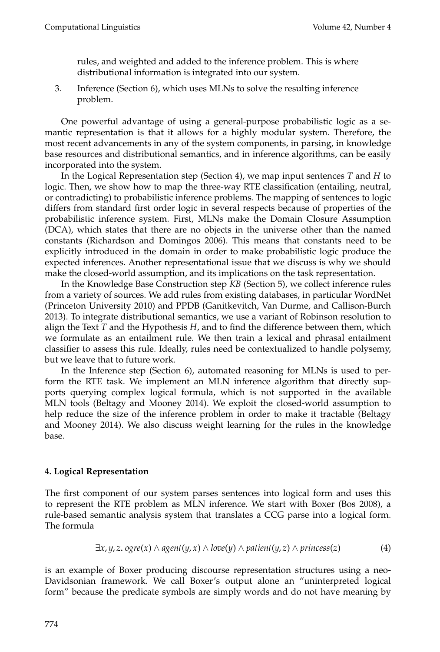rules, and weighted and added to the inference problem. This is where distributional information is integrated into our system.

3. Inference (Section 6), which uses MLNs to solve the resulting inference problem.

One powerful advantage of using a general-purpose probabilistic logic as a semantic representation is that it allows for a highly modular system. Therefore, the most recent advancements in any of the system components, in parsing, in knowledge base resources and distributional semantics, and in inference algorithms, can be easily incorporated into the system.

In the Logical Representation step (Section 4), we map input sentences *T* and *H* to logic. Then, we show how to map the three-way RTE classification (entailing, neutral, or contradicting) to probabilistic inference problems. The mapping of sentences to logic differs from standard first order logic in several respects because of properties of the probabilistic inference system. First, MLNs make the Domain Closure Assumption (DCA), which states that there are no objects in the universe other than the named constants (Richardson and Domingos 2006). This means that constants need to be explicitly introduced in the domain in order to make probabilistic logic produce the expected inferences. Another representational issue that we discuss is why we should make the closed-world assumption, and its implications on the task representation.

In the Knowledge Base Construction step *KB* (Section 5), we collect inference rules from a variety of sources. We add rules from existing databases, in particular WordNet (Princeton University 2010) and PPDB (Ganitkevitch, Van Durme, and Callison-Burch 2013). To integrate distributional semantics, we use a variant of Robinson resolution to align the Text *T* and the Hypothesis *H*, and to find the difference between them, which we formulate as an entailment rule. We then train a lexical and phrasal entailment classifier to assess this rule. Ideally, rules need be contextualized to handle polysemy, but we leave that to future work.

In the Inference step (Section 6), automated reasoning for MLNs is used to perform the RTE task. We implement an MLN inference algorithm that directly supports querying complex logical formula, which is not supported in the available MLN tools (Beltagy and Mooney 2014). We exploit the closed-world assumption to help reduce the size of the inference problem in order to make it tractable (Beltagy and Mooney 2014). We also discuss weight learning for the rules in the knowledge base.

#### **4. Logical Representation**

The first component of our system parses sentences into logical form and uses this to represent the RTE problem as MLN inference. We start with Boxer (Bos 2008), a rule-based semantic analysis system that translates a CCG parse into a logical form. The formula

$$
\exists x, y, z. \text{ ogre}(x) \land \text{ agent}(y, x) \land \text{love}(y) \land \text{ patient}(y, z) \land \text{ princes}(z)
$$
 (4)

is an example of Boxer producing discourse representation structures using a neo-Davidsonian framework. We call Boxer's output alone an "uninterpreted logical form" because the predicate symbols are simply words and do not have meaning by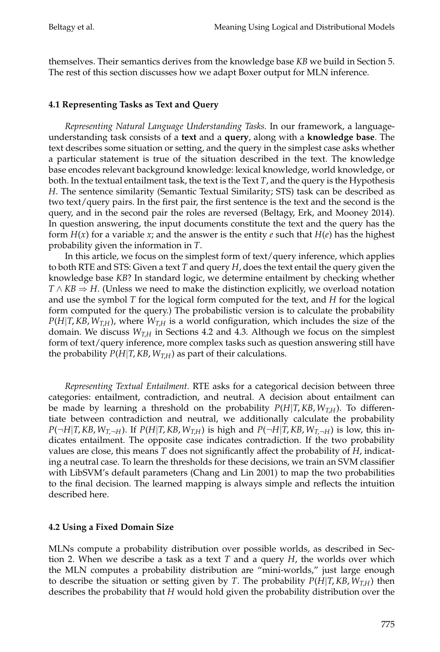themselves. Their semantics derives from the knowledge base *KB* we build in Section 5. The rest of this section discusses how we adapt Boxer output for MLN inference.

#### **4.1 Representing Tasks as Text and Query**

*Representing Natural Language Understanding Tasks.* In our framework, a languageunderstanding task consists of a **text** and a **query**, along with a **knowledge base**. The text describes some situation or setting, and the query in the simplest case asks whether a particular statement is true of the situation described in the text. The knowledge base encodes relevant background knowledge: lexical knowledge, world knowledge, or both. In the textual entailment task, the text is the Text *T*, and the query is the Hypothesis *H*. The sentence similarity (Semantic Textual Similarity; STS) task can be described as two text/query pairs. In the first pair, the first sentence is the text and the second is the query, and in the second pair the roles are reversed (Beltagy, Erk, and Mooney 2014). In question answering, the input documents constitute the text and the query has the form  $H(x)$  for a variable *x*; and the answer is the entity *e* such that  $H(e)$  has the highest probability given the information in *T*.

In this article, we focus on the simplest form of text/query inference, which applies to both RTE and STS: Given a text *T* and query *H*, does the text entail the query given the knowledge base *KB*? In standard logic, we determine entailment by checking whether  $T \wedge KB \Rightarrow H$ . (Unless we need to make the distinction explicitly, we overload notation and use the symbol *T* for the logical form computed for the text, and *H* for the logical form computed for the query.) The probabilistic version is to calculate the probability  $P(H|T,KB,W_{TH})$ , where  $W_{TH}$  is a world configuration, which includes the size of the domain. We discuss  $W_{TH}$  in Sections 4.2 and 4.3. Although we focus on the simplest form of text/query inference, more complex tasks such as question answering still have the probability  $P(H|T,KB,W_{TH})$  as part of their calculations.

*Representing Textual Entailment.* RTE asks for a categorical decision between three categories: entailment, contradiction, and neutral. A decision about entailment can be made by learning a threshold on the probability  $P(H|T,KB,W_{TH})$ . To differentiate between contradiction and neutral, we additionally calculate the probability  $P(\neg H|T, KB, W_{T, \neg H})$ . If  $P(H|T, KB, W_{T, H})$  is high and  $P(\neg H|T, KB, W_{T, \neg H})$  is low, this indicates entailment. The opposite case indicates contradiction. If the two probability values are close, this means *T* does not significantly affect the probability of *H*, indicating a neutral case. To learn the thresholds for these decisions, we train an SVM classifier with LibSVM's default parameters (Chang and Lin 2001) to map the two probabilities to the final decision. The learned mapping is always simple and reflects the intuition described here.

# **4.2 Using a Fixed Domain Size**

MLNs compute a probability distribution over possible worlds, as described in Section 2. When we describe a task as a text *T* and a query *H*, the worlds over which the MLN computes a probability distribution are "mini-worlds," just large enough to describe the situation or setting given by *T*. The probability  $P(H|T,KB,W_{TH})$  then describes the probability that *H* would hold given the probability distribution over the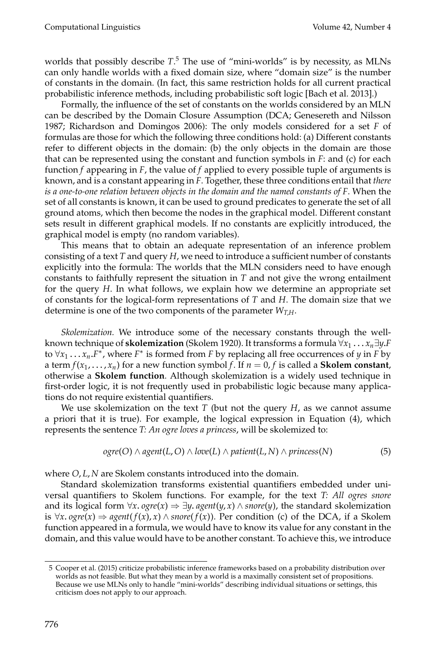worlds that possibly describe *T*. <sup>5</sup> The use of "mini-worlds" is by necessity, as MLNs can only handle worlds with a fixed domain size, where "domain size" is the number of constants in the domain. (In fact, this same restriction holds for all current practical probabilistic inference methods, including probabilistic soft logic [Bach et al. 2013].)

Formally, the influence of the set of constants on the worlds considered by an MLN can be described by the Domain Closure Assumption (DCA; Genesereth and Nilsson 1987; Richardson and Domingos 2006): The only models considered for a set *F* of formulas are those for which the following three conditions hold: (a) Different constants refer to different objects in the domain: (b) the only objects in the domain are those that can be represented using the constant and function symbols in *F*: and (c) for each function *f* appearing in *F*, the value of *f* applied to every possible tuple of arguments is known, and is a constant appearing in *F*. Together, these three conditions entail that *there is a one-to-one relation between objects in the domain and the named constants of F*. When the set of all constants is known, it can be used to ground predicates to generate the set of all ground atoms, which then become the nodes in the graphical model. Different constant sets result in different graphical models. If no constants are explicitly introduced, the graphical model is empty (no random variables).

This means that to obtain an adequate representation of an inference problem consisting of a text *T* and query *H*, we need to introduce a sufficient number of constants explicitly into the formula: The worlds that the MLN considers need to have enough constants to faithfully represent the situation in *T* and not give the wrong entailment for the query *H*. In what follows, we explain how we determine an appropriate set of constants for the logical-form representations of *T* and *H*. The domain size that we determine is one of the two components of the parameter  $W_{TH}$ .

*Skolemization.* We introduce some of the necessary constants through the wellknown technique of **skolemization** (Skolem 1920). It transforms a formula ∀*x*<sup>1</sup> . . . *xn*∃*y*.*F* to  $\forall x_1 \ldots x_n$ .*F*<sup>\*</sup>, where *F*<sup>\*</sup> is formed from *F* by replacing all free occurrences of *y* in *F* by a term  $f(x_1, \ldots, x_n)$  for a new function symbol  $f$ . If  $n = 0$ ,  $f$  is called a **Skolem constant**, otherwise a **Skolem function**. Although skolemization is a widely used technique in first-order logic, it is not frequently used in probabilistic logic because many applications do not require existential quantifiers.

We use skolemization on the text *T* (but not the query *H*, as we cannot assume a priori that it is true). For example, the logical expression in Equation (4), which represents the sentence *T: An ogre loves a princess*, will be skolemized to:

$$
ogre(O) \land agent(L, O) \land love(L) \land patient(L, N) \land princes(N)
$$
\n(5)

where *O*, *L*, *N* are Skolem constants introduced into the domain.

Standard skolemization transforms existential quantifiers embedded under universal quantifiers to Skolem functions. For example, for the text *T: All ogres snore* and its logical form  $\forall x.$  *ogre*( $x$ )  $\Rightarrow \exists y.$  *agent*( $y, x$ )  $\land$  *snore*( $y$ ), the standard skolemization is  $∀x.\text{ } ogre(x) ⇒ agent(f(x), x) ∧ snore(f(x)).$  Per condition (c) of the DCA, if a Skolem function appeared in a formula, we would have to know its value for any constant in the domain, and this value would have to be another constant. To achieve this, we introduce

<sup>5</sup> Cooper et al. (2015) criticize probabilistic inference frameworks based on a probability distribution over worlds as not feasible. But what they mean by a world is a maximally consistent set of propositions. Because we use MLNs only to handle "mini-worlds" describing individual situations or settings, this criticism does not apply to our approach.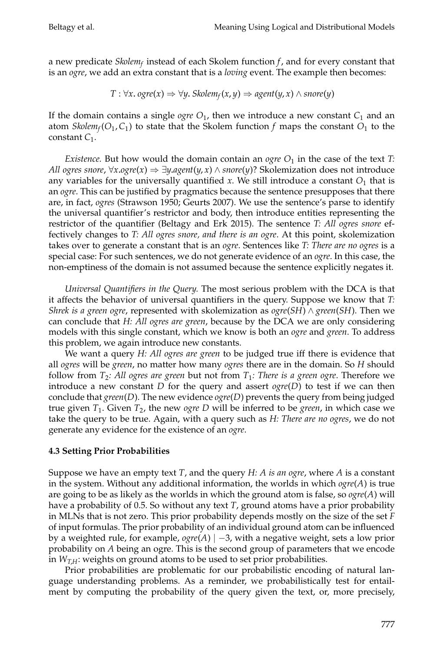a new predicate *Skolem<sup>f</sup>* instead of each Skolem function *f*, and for every constant that is an *ogre*, we add an extra constant that is a *loving* event. The example then becomes:

$$
T: \forall x. \text{ ogre}(x) \Rightarrow \forall y. \text{Skolem}_f(x, y) \Rightarrow \text{ agent}(y, x) \land \text{snore}(y)
$$

If the domain contains a single *ogre O*<sup>1</sup> , then we introduce a new constant *C*<sup>1</sup> and an atom  $\mathit{Skolem}_f(O_1, C_1)$  to state that the Skolem function  $f$  maps the constant  $O_1$  to the constant *C*<sup>1</sup> .

*Existence.* But how would the domain contain an *ogre*  $O_1$  in the case of the text *T*: *All ogres snore*, ∀*x*.*ogre*(*x*) ⇒ ∃*y*.*agent*(*y*, *x*) ∧ *snore*(*y*)? Skolemization does not introduce any variables for the universally quantified  $x$ . We still introduce a constant  $O_1$  that is an *ogre*. This can be justified by pragmatics because the sentence presupposes that there are, in fact, *ogres* (Strawson 1950; Geurts 2007). We use the sentence's parse to identify the universal quantifier's restrictor and body, then introduce entities representing the restrictor of the quantifier (Beltagy and Erk 2015). The sentence *T: All ogres snore* effectively changes to *T: All ogres snore, and there is an ogre*. At this point, skolemization takes over to generate a constant that is an *ogre*. Sentences like *T: There are no ogres* is a special case: For such sentences, we do not generate evidence of an *ogre*. In this case, the non-emptiness of the domain is not assumed because the sentence explicitly negates it.

*Universal Quantifiers in the Query.* The most serious problem with the DCA is that it affects the behavior of universal quantifiers in the query. Suppose we know that *T: Shrek is a green ogre*, represented with skolemization as *ogre*(*SH*) ∧ *green*(*SH*). Then we can conclude that *H: All ogres are green*, because by the DCA we are only considering models with this single constant, which we know is both an *ogre* and *green*. To address this problem, we again introduce new constants.

We want a query *H: All ogres are green* to be judged true iff there is evidence that all *ogres* will be *green*, no matter how many *ogres* there are in the domain. So *H* should follow from *T*<sup>2</sup> *: All ogres are green* but not from *T*<sup>1</sup> *: There is a green ogre*. Therefore we introduce a new constant  $D$  for the query and assert  $ogre(D)$  to test if we can then conclude that *green*(*D*). The new evidence *ogre*(*D*) prevents the query from being judged true given  $T_1$ . Given  $T_2$ , the new *ogre D* will be inferred to be *green*, in which case we take the query to be true. Again, with a query such as *H: There are no ogres*, we do not generate any evidence for the existence of an *ogre*.

#### **4.3 Setting Prior Probabilities**

Suppose we have an empty text *T*, and the query *H: A is an ogre*, where *A* is a constant in the system. Without any additional information, the worlds in which *ogre*(*A*) is true are going to be as likely as the worlds in which the ground atom is false, so *ogre*(*A*) will have a probability of 0.5. So without any text *T*, ground atoms have a prior probability in MLNs that is not zero. This prior probability depends mostly on the size of the set *F* of input formulas. The prior probability of an individual ground atom can be influenced by a weighted rule, for example, *, with a negative weight, sets a low prior* probability on *A* being an ogre. This is the second group of parameters that we encode in  $W<sub>TH</sub>$ : weights on ground atoms to be used to set prior probabilities.

Prior probabilities are problematic for our probabilistic encoding of natural language understanding problems. As a reminder, we probabilistically test for entailment by computing the probability of the query given the text, or, more precisely,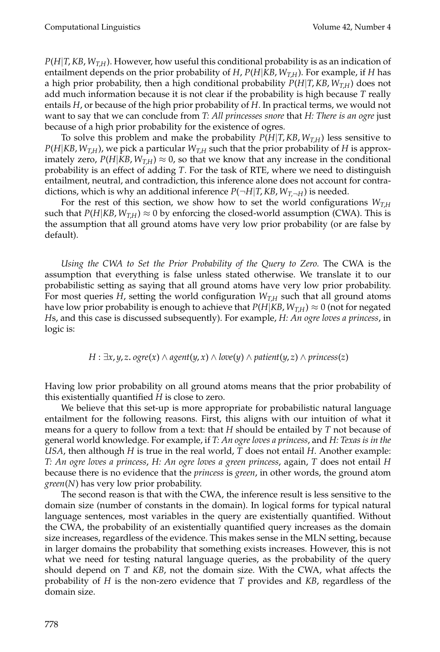*P*(*H*|*T*,*KB*, *WT*,*H*). However, how useful this conditional probability is as an indication of entailment depends on the prior probability of *H*, *P*(*H*|*KB*, *WT*,*H*). For example, if *H* has a high prior probability, then a high conditional probability  $P(H|T, KB, W_{TH})$  does not add much information because it is not clear if the probability is high because *T* really entails *H*, or because of the high prior probability of *H*. In practical terms, we would not want to say that we can conclude from *T: All princesses snore* that *H: There is an ogre* just because of a high prior probability for the existence of ogres.

To solve this problem and make the probability  $P(H|T,KB,W_{TH})$  less sensitive to  $P(H|KB, W_{TH})$ , we pick a particular  $W_{TH}$  such that the prior probability of *H* is approximately zero,  $P(H|KB, W_{TH}) \approx 0$ , so that we know that any increase in the conditional probability is an effect of adding *T*. For the task of RTE, where we need to distinguish entailment, neutral, and contradiction, this inference alone does not account for contradictions, which is why an additional inference  $P(\neg H|T, KB, W_{T, \neg H})$  is needed.

For the rest of this section, we show how to set the world configurations  $W_{TH}$ such that  $P(H|KB, W_{TH}) \approx 0$  by enforcing the closed-world assumption (CWA). This is the assumption that all ground atoms have very low prior probability (or are false by default).

*Using the CWA to Set the Prior Probability of the Query to Zero.* The CWA is the assumption that everything is false unless stated otherwise. We translate it to our probabilistic setting as saying that all ground atoms have very low prior probability. For most queries *H*, setting the world configuration *WT*,*<sup>H</sup>* such that all ground atoms have low prior probability is enough to achieve that  $P(H|KB, W_{TH}) \approx 0$  (not for negated *H*s, and this case is discussed subsequently). For example, *H: An ogre loves a princess*, in logic is:

$$
H: \exists x, y, z. ogre(x) \land agent(y, x) \land love(y) \land patient(y, z) \land princes(z)
$$

Having low prior probability on all ground atoms means that the prior probability of this existentially quantified *H* is close to zero.

We believe that this set-up is more appropriate for probabilistic natural language entailment for the following reasons. First, this aligns with our intuition of what it means for a query to follow from a text: that *H* should be entailed by *T* not because of general world knowledge. For example, if *T: An ogre loves a princess*, and *H: Texas is in the USA*, then although *H* is true in the real world, *T* does not entail *H*. Another example: *T: An ogre loves a princess*, *H: An ogre loves a green princess*, again, *T* does not entail *H* because there is no evidence that the *princess* is *green*, in other words, the ground atom *green*(*N*) has very low prior probability.

The second reason is that with the CWA, the inference result is less sensitive to the domain size (number of constants in the domain). In logical forms for typical natural language sentences, most variables in the query are existentially quantified. Without the CWA, the probability of an existentially quantified query increases as the domain size increases, regardless of the evidence. This makes sense in the MLN setting, because in larger domains the probability that something exists increases. However, this is not what we need for testing natural language queries, as the probability of the query should depend on *T* and *KB*, not the domain size. With the CWA, what affects the probability of *H* is the non-zero evidence that *T* provides and *KB*, regardless of the domain size.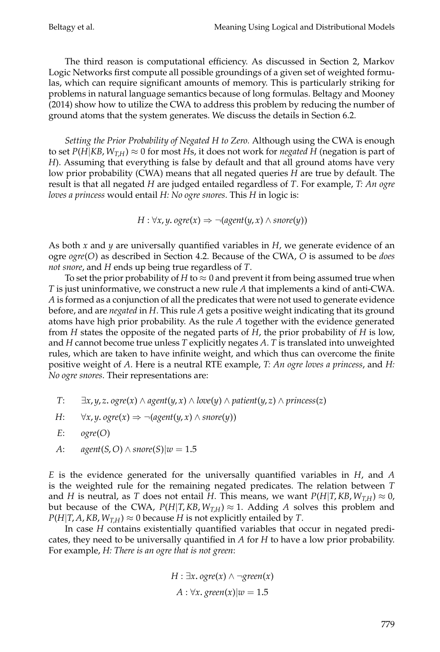The third reason is computational efficiency. As discussed in Section 2, Markov Logic Networks first compute all possible groundings of a given set of weighted formulas, which can require significant amounts of memory. This is particularly striking for problems in natural language semantics because of long formulas. Beltagy and Mooney (2014) show how to utilize the CWA to address this problem by reducing the number of ground atoms that the system generates. We discuss the details in Section 6.2.

*Setting the Prior Probability of Negated H to Zero.* Although using the CWA is enough to set  $P(H|KB, W_{TH}) \approx 0$  for most *Hs*, it does not work for *negated H* (negation is part of *H*). Assuming that everything is false by default and that all ground atoms have very low prior probability (CWA) means that all negated queries *H* are true by default. The result is that all negated *H* are judged entailed regardless of *T*. For example, *T: An ogre loves a princess* would entail *H: No ogre snores*. This *H* in logic is:

$$
H: \forall x, y \text{.} \text{ogre}(x) \Rightarrow \neg(\text{agent}(y, x) \land \text{snore}(y))
$$

As both *x* and *y* are universally quantified variables in *H*, we generate evidence of an ogre *ogre*(*O*) as described in Section 4.2. Because of the CWA, *O* is assumed to be *does not snore*, and *H* ends up being true regardless of *T*.

To set the prior probability of *H* to  $\approx$  0 and prevent it from being assumed true when *T* is just uninformative, we construct a new rule *A* that implements a kind of anti-CWA. *A* is formed as a conjunction of all the predicates that were not used to generate evidence before, and are *negated* in *H*. This rule *A* gets a positive weight indicating that its ground atoms have high prior probability. As the rule *A* together with the evidence generated from *H* states the opposite of the negated parts of *H*, the prior probability of *H* is low, and *H* cannot become true unless *T* explicitly negates *A*. *T* is translated into unweighted rules, which are taken to have infinite weight, and which thus can overcome the finite positive weight of *A*. Here is a neutral RTE example, *T: An ogre loves a princess*, and *H: No ogre snores*. Their representations are:

- *T*:  $∃x, y, z. ogre(x) ∧ agent(y, x) ∧ love(y) ∧ patient(y, z) ∧ private(x, z) ∧ prices(z)$
- *H*:  $\forall x, y \text{. } ogre(x) \Rightarrow \neg (agent(y, x) \land snore(y))$
- *E*: *ogre*(*O*)
- *A*:  $agent(S, O) \wedge snore(S)|w = 1.5$

*E* is the evidence generated for the universally quantified variables in *H*, and *A* is the weighted rule for the remaining negated predicates. The relation between *T* and *H* is neutral, as *T* does not entail *H*. This means, we want  $P(H|T, KB, W_{TH}) \approx 0$ , but because of the CWA,  $P(H|T,KB,W_{TH}) \approx 1$ . Adding *A* solves this problem and  $P(H|T, A, KB, W_{TH}) \approx 0$  because *H* is not explicitly entailed by *T*.

In case *H* contains existentially quantified variables that occur in negated predicates, they need to be universally quantified in *A* for *H* to have a low prior probability. For example, *H: There is an ogre that is not green*:

$$
H: \exists x. \text{ ogre}(x) \land \neg \text{green}(x)
$$

$$
A: \forall x. \text{ green}(x) | w = 1.5
$$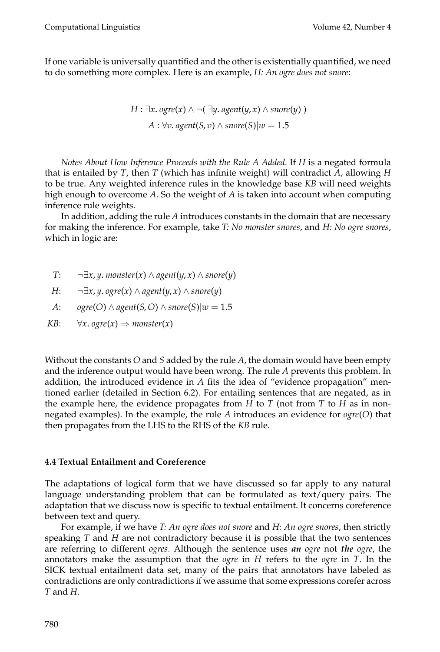If one variable is universally quantified and the other is existentially quantified, we need to do something more complex. Here is an example, *H: An ogre does not snore*:

> *H* :  $\exists x. \text{ ogre}(x) \land \neg(\exists y. \text{ agent}(y, x) \land \text{ snore}(y))$ *A* : ∀*v*. *agent*(*S*, *v*) ∧ *snore*(*S*)| $w = 1.5$

*Notes About How Inference Proceeds with the Rule A Added.* If *H* is a negated formula that is entailed by *T*, then *T* (which has infinite weight) will contradict *A*, allowing *H* to be true. Any weighted inference rules in the knowledge base *KB* will need weights high enough to overcome *A*. So the weight of *A* is taken into account when computing inference rule weights.

In addition, adding the rule *A* introduces constants in the domain that are necessary for making the inference. For example, take *T: No monster snores*, and *H: No ogre snores*, which in logic are:

- *T*:  $\neg \exists x, y$ *. monster*(*x*) ∧ *agent*(*y*, *x*) ∧ *snore*(*y*)
- *H*: ¬∃*x*, *y*. *ogre*(*x*) ∧ *agent*(*y*, *x*) ∧ *snore*(*y*)
- *A*:  $$

*KB*:  $∀x. ogre(x) ⇒ *monster(x)*$ 

Without the constants *O* and *S* added by the rule *A*, the domain would have been empty and the inference output would have been wrong. The rule *A* prevents this problem. In addition, the introduced evidence in *A* fits the idea of "evidence propagation" mentioned earlier (detailed in Section 6.2). For entailing sentences that are negated, as in the example here, the evidence propagates from  $H$  to  $T$  (not from  $T$  to  $H$  as in nonnegated examples). In the example, the rule *A* introduces an evidence for *ogre*(*O*) that then propagates from the LHS to the RHS of the *KB* rule.

# **4.4 Textual Entailment and Coreference**

The adaptations of logical form that we have discussed so far apply to any natural language understanding problem that can be formulated as text/query pairs. The adaptation that we discuss now is specific to textual entailment. It concerns coreference between text and query.

For example, if we have *T: An ogre does not snore* and *H: An ogre snores*, then strictly speaking *T* and *H* are not contradictory because it is possible that the two sentences are referring to different *ogres*. Although the sentence uses *an ogre* not *the ogre*, the annotators make the assumption that the *ogre* in *H* refers to the *ogre* in *T*. In the SICK textual entailment data set, many of the pairs that annotators have labeled as contradictions are only contradictions if we assume that some expressions corefer across *T* and *H*.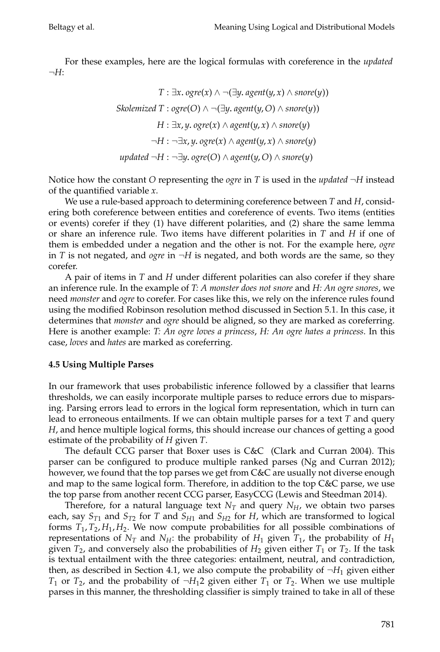For these examples, here are the logical formulas with coreference in the *updated* ¬*H*:

$$
T: \exists x. \text{ ogre}(x) \land \neg(\exists y. \text{ agent}(y, x) \land \text{snore}(y))
$$
  
Skolemized  $T: \text{ogre}(O) \land \neg(\exists y. \text{ agent}(y, O) \land \text{snore}(y))$   
 $H: \exists x, y. \text{ ogre}(x) \land \text{agent}(y, x) \land \text{snore}(y)$   
 $\neg H: \neg \exists x, y. \text{ ogre}(x) \land \text{agent}(y, x) \land \text{snore}(y)$   
updated  $\neg H: \neg \exists y. \text{ ogre}(O) \land \text{agent}(y, O) \land \text{snore}(y)$ 

Notice how the constant *O* representing the *ogre* in *T* is used in the *updated* ¬*H* instead of the quantified variable *x*.

We use a rule-based approach to determining coreference between *T* and *H*, considering both coreference between entities and coreference of events. Two items (entities or events) corefer if they (1) have different polarities, and (2) share the same lemma or share an inference rule. Two items have different polarities in *T* and *H* if one of them is embedded under a negation and the other is not. For the example here, *ogre* in *T* is not negated, and *ogre* in  $\neg H$  is negated, and both words are the same, so they corefer.

A pair of items in *T* and *H* under different polarities can also corefer if they share an inference rule. In the example of *T: A monster does not snore* and *H: An ogre snores*, we need *monster* and *ogre* to corefer. For cases like this, we rely on the inference rules found using the modified Robinson resolution method discussed in Section 5.1. In this case, it determines that *monster* and *ogre* should be aligned, so they are marked as coreferring. Here is another example: *T: An ogre loves a princess*, *H: An ogre hates a princess*. In this case, *loves* and *hates* are marked as coreferring.

#### **4.5 Using Multiple Parses**

In our framework that uses probabilistic inference followed by a classifier that learns thresholds, we can easily incorporate multiple parses to reduce errors due to misparsing. Parsing errors lead to errors in the logical form representation, which in turn can lead to erroneous entailments. If we can obtain multiple parses for a text *T* and query *H*, and hence multiple logical forms, this should increase our chances of getting a good estimate of the probability of *H* given *T*.

The default CCG parser that Boxer uses is C&C (Clark and Curran 2004). This parser can be configured to produce multiple ranked parses (Ng and Curran 2012); however, we found that the top parses we get from C&C are usually not diverse enough and map to the same logical form. Therefore, in addition to the top C&C parse, we use the top parse from another recent CCG parser, EasyCCG (Lewis and Steedman 2014).

Therefore, for a natural language text  $N_T$  and query  $N_H$ , we obtain two parses each, say  $S_{T1}$  and  $S_{T2}$  for  $T$  and  $S_{H1}$  and  $S_{H2}$  for  $H$ , which are transformed to logical forms  $T_1$ ,  $T_2$ ,  $H_1$ ,  $H_2$ . We now compute probabilities for all possible combinations of representations of  $N_T$  and  $N_H$ : the probability of  $H_1$  given  $T_1$ , the probability of  $H_1$ given  $T_2$ , and conversely also the probabilities of  $H_2$  given either  $T_1$  or  $T_2$ . If the task is textual entailment with the three categories: entailment, neutral, and contradiction, then, as described in Section 4.1, we also compute the probability of  $\neg H_1$  given either *T*<sub>1</sub> or *T*<sub>2</sub>, and the probability of  $\neg H_1$ 2 given either *T*<sub>1</sub> or *T*<sub>2</sub>. When we use multiple parses in this manner, the thresholding classifier is simply trained to take in all of these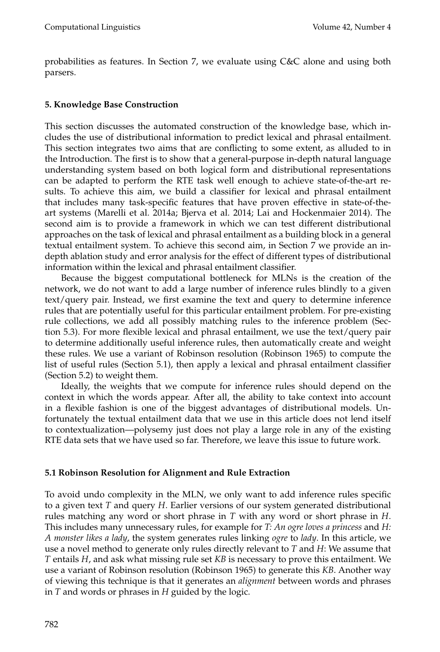probabilities as features. In Section 7, we evaluate using C&C alone and using both parsers.

#### **5. Knowledge Base Construction**

This section discusses the automated construction of the knowledge base, which includes the use of distributional information to predict lexical and phrasal entailment. This section integrates two aims that are conflicting to some extent, as alluded to in the Introduction. The first is to show that a general-purpose in-depth natural language understanding system based on both logical form and distributional representations can be adapted to perform the RTE task well enough to achieve state-of-the-art results. To achieve this aim, we build a classifier for lexical and phrasal entailment that includes many task-specific features that have proven effective in state-of-theart systems (Marelli et al. 2014a; Bjerva et al. 2014; Lai and Hockenmaier 2014). The second aim is to provide a framework in which we can test different distributional approaches on the task of lexical and phrasal entailment as a building block in a general textual entailment system. To achieve this second aim, in Section 7 we provide an indepth ablation study and error analysis for the effect of different types of distributional information within the lexical and phrasal entailment classifier.

Because the biggest computational bottleneck for MLNs is the creation of the network, we do not want to add a large number of inference rules blindly to a given text/query pair. Instead, we first examine the text and query to determine inference rules that are potentially useful for this particular entailment problem. For pre-existing rule collections, we add all possibly matching rules to the inference problem (Section 5.3). For more flexible lexical and phrasal entailment, we use the text/query pair to determine additionally useful inference rules, then automatically create and weight these rules. We use a variant of Robinson resolution (Robinson 1965) to compute the list of useful rules (Section 5.1), then apply a lexical and phrasal entailment classifier (Section 5.2) to weight them.

Ideally, the weights that we compute for inference rules should depend on the context in which the words appear. After all, the ability to take context into account in a flexible fashion is one of the biggest advantages of distributional models. Unfortunately the textual entailment data that we use in this article does not lend itself to contextualization—polysemy just does not play a large role in any of the existing RTE data sets that we have used so far. Therefore, we leave this issue to future work.

# **5.1 Robinson Resolution for Alignment and Rule Extraction**

To avoid undo complexity in the MLN, we only want to add inference rules specific to a given text *T* and query *H*. Earlier versions of our system generated distributional rules matching any word or short phrase in *T* with any word or short phrase in *H*. This includes many unnecessary rules, for example for *T: An ogre loves a princess* and *H: A monster likes a lady*, the system generates rules linking *ogre* to *lady*. In this article, we use a novel method to generate only rules directly relevant to *T* and *H*: We assume that *T* entails *H*, and ask what missing rule set *KB* is necessary to prove this entailment. We use a variant of Robinson resolution (Robinson 1965) to generate this *KB*. Another way of viewing this technique is that it generates an *alignment* between words and phrases in *T* and words or phrases in *H* guided by the logic.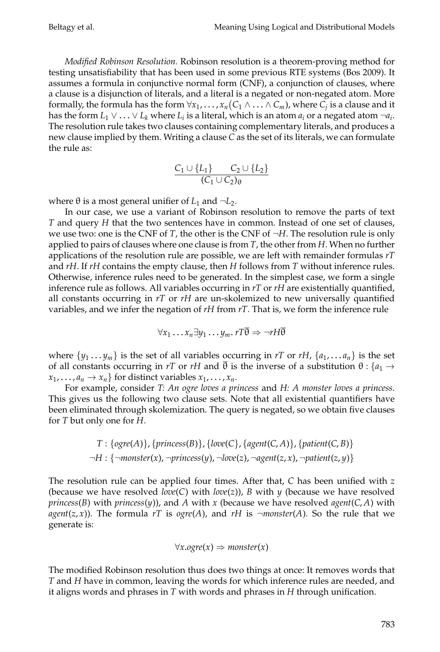*Modified Robinson Resolution.* Robinson resolution is a theorem-proving method for testing unsatisfiability that has been used in some previous RTE systems (Bos 2009). It assumes a formula in conjunctive normal form (CNF), a conjunction of clauses, where a clause is a disjunction of literals, and a literal is a negated or non-negated atom. More formally, the formula has the form  $\forall x_1,\ldots,x_n (C_1\wedge \ldots \wedge C_m)$ , where  $C_j$  is a clause and it has the form  $L_1 \vee \ldots \vee L_k$  where  $L_i$  is a literal, which is an atom  $a_i$  or a negated atom  $\neg a_i$ . The resolution rule takes two clauses containing complementary literals, and produces a new clause implied by them. Writing a clause *C* as the set of its literals, we can formulate the rule as:

$$
\frac{C_1 \cup \{L_1\} \quad C_2 \cup \{L_2\}}{(C_1 \cup C_2)_{\theta}}
$$

where  $\theta$  is a most general unifier of  $L_1$  and  $\neg L_2$ .

In our case, we use a variant of Robinson resolution to remove the parts of text *T* and query *H* that the two sentences have in common. Instead of one set of clauses, we use two: one is the CNF of *T*, the other is the CNF of  $\neg H$ . The resolution rule is only applied to pairs of clauses where one clause is from *T*, the other from *H*. When no further applications of the resolution rule are possible, we are left with remainder formulas *rT* and *rH*. If *rH* contains the empty clause, then *H* follows from *T* without inference rules. Otherwise, inference rules need to be generated. In the simplest case, we form a single inference rule as follows. All variables occurring in *rT* or *rH* are existentially quantified, all constants occurring in *rT* or *rH* are un-skolemized to new universally quantified variables, and we infer the negation of *rH* from *rT*. That is, we form the inference rule

$$
\forall x_1 \ldots x_n \exists y_1 \ldots y_m \ldotp r \bar{T} \bar{\theta} \Rightarrow \neg r H \bar{\theta}
$$

where  $\{y_1 \dots y_m\}$  is the set of all variables occurring in *rT* or *rH*,  $\{a_1, \dots a_n\}$  is the set of all constants occurring in *rT* or *rH* and  $\overline{\theta}$  is the inverse of a substitution θ : {*a*<sub>1</sub> →  $x_1, \ldots, a_n \to x_n$  for distinct variables  $x_1, \ldots, x_n$ .

For example, consider *T: An ogre loves a princess* and *H: A monster loves a princess*. This gives us the following two clause sets. Note that all existential quantifiers have been eliminated through skolemization. The query is negated, so we obtain five clauses for *T* but only one for *H*.

$$
T: \{ogre(A)\}, \{princess(B)\}, \{love(C)\}, \{agent(C, A)\}, \{patient(C, B)\}\
$$
  

$$
\neg H: \{\neg monster(x), \neg princess(y), \neg love(z), \neg agent(z, x), \neg patient(z, y)\}
$$

The resolution rule can be applied four times. After that, *C* has been unified with *z* (because we have resolved *love*(*C*) with *love*(*z*)), *B* with *y* (because we have resolved *princess*(*B*) with *princess*(*y*)), and *A* with *x* (because we have resolved *agent*(*C*, *A*) with *agent*(*z*, *x*)). The formula *rT* is *ogre*(*A*), and *rH* is  $\neg$ *monster*(*A*). So the rule that we generate is:

$$
\forall x. ogre(x) \Rightarrow \text{monster}(x)
$$

The modified Robinson resolution thus does two things at once: It removes words that *T* and *H* have in common, leaving the words for which inference rules are needed, and it aligns words and phrases in *T* with words and phrases in *H* through unification.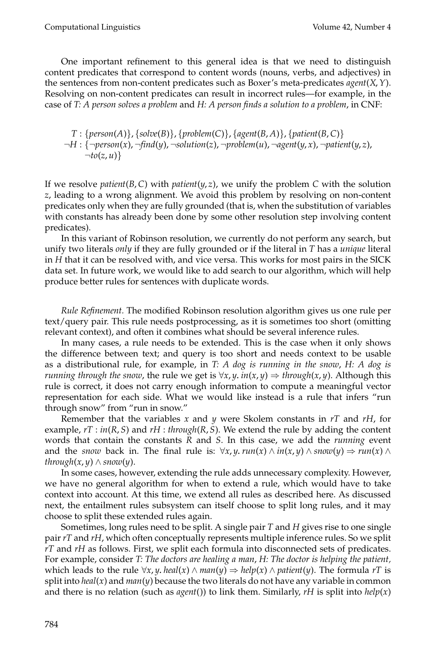One important refinement to this general idea is that we need to distinguish content predicates that correspond to content words (nouns, verbs, and adjectives) in the sentences from non-content predicates such as Boxer's meta-predicates *agent*(*X*, *Y*). Resolving on non-content predicates can result in incorrect rules—for example, in the case of *T: A person solves a problem* and *H: A person finds a solution to a problem*, in CNF:

*T* : {*person*(*A*)}, {*solve*(*B*)}, {*problem*(*C*)}, {*agent*(*B*, *A*)}, {*patient*(*B*,*C*)} ¬*H* : {¬*person*(*x*),¬*find*(*y*),¬*solution*(*z*),¬*problem*(*u*),¬*agent*(*y*, *x*),¬*patient*(*y*, *z*),  $\neg to(z, u)\}$ 

If we resolve *patient*( $B$ , $C$ ) with *patient*( $y$ , $z$ ), we unify the problem  $C$  with the solution *z*, leading to a wrong alignment. We avoid this problem by resolving on non-content predicates only when they are fully grounded (that is, when the substitution of variables with constants has already been done by some other resolution step involving content predicates).

In this variant of Robinson resolution, we currently do not perform any search, but unify two literals *only* if they are fully grounded or if the literal in *T* has a *unique* literal in *H* that it can be resolved with, and vice versa. This works for most pairs in the SICK data set. In future work, we would like to add search to our algorithm, which will help produce better rules for sentences with duplicate words.

*Rule Refinement.* The modified Robinson resolution algorithm gives us one rule per text/query pair. This rule needs postprocessing, as it is sometimes too short (omitting relevant context), and often it combines what should be several inference rules.

In many cases, a rule needs to be extended. This is the case when it only shows the difference between text; and query is too short and needs context to be usable as a distributional rule, for example, in *T: A dog is running in the snow*, *H: A dog is running through the snow,* the rule we get is  $\forall x, y$ . *in*(*x*, *y*)  $\Rightarrow$  *through*(*x*, *y*). Although this rule is correct, it does not carry enough information to compute a meaningful vector representation for each side. What we would like instead is a rule that infers "run through snow" from "run in snow."

Remember that the variables *x* and *y* were Skolem constants in *rT* and *rH*, for example, *rT* : *in*(*R*, *S*) and *rH* : *through*(*R*, *S*). We extend the rule by adding the content words that contain the constants *R* and *S*. In this case, we add the *running* event and the *snow* back in. The final rule is:  $\forall x, y$ . *run*(*x*)  $\land$  *in*(*x*, *y*)  $\land$  *snow*(*y*)  $\Rightarrow$  *run*(*x*)  $\land$ *through*( $x$ ,  $y$ ) ∧ *snow*( $y$ ).

In some cases, however, extending the rule adds unnecessary complexity. However, we have no general algorithm for when to extend a rule, which would have to take context into account. At this time, we extend all rules as described here. As discussed next, the entailment rules subsystem can itself choose to split long rules, and it may choose to split these extended rules again.

Sometimes, long rules need to be split. A single pair *T* and *H* gives rise to one single pair *rT* and *rH*, which often conceptually represents multiple inference rules. So we split *rT* and *rH* as follows. First, we split each formula into disconnected sets of predicates. For example, consider *T: The doctors are healing a man*, *H: The doctor is helping the patient,* which leads to the rule  $\forall x, y$ . *heal*(*x*)  $\land$  *man*(*y*)  $\Rightarrow$  *help*(*x*)  $\land$  *patient*(*y*). The formula *rT* is split into *heal*(*x*) and *man*(*y*) because the two literals do not have any variable in common and there is no relation (such as *agent*()) to link them. Similarly, *rH* is split into *help*(*x*)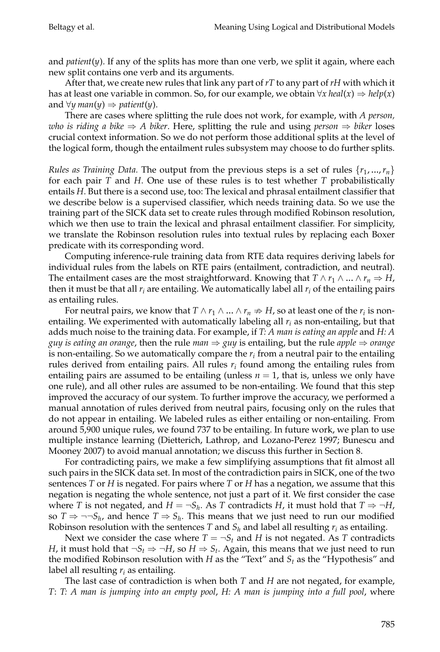and *patient*(*y*). If any of the splits has more than one verb, we split it again, where each new split contains one verb and its arguments.

After that, we create new rules that link any part of *rT* to any part of *rH* with which it has at least one variable in common. So, for our example, we obtain  $\forall x \text{ } head(x) \Rightarrow \text{ } help(x)$ and  $\forall y \, man(y) \Rightarrow patient(y)$ .

There are cases where splitting the rule does not work, for example, with *A person, who is riding a bike*  $⇒$  *A biker*. Here, splitting the rule and using *person*  $⇒$  *biker* loses crucial context information. So we do not perform those additional splits at the level of the logical form, though the entailment rules subsystem may choose to do further splits.

*Rules as Training Data.* The output from the previous steps is a set of rules  $\{r_1, ..., r_n\}$ for each pair *T* and *H*. One use of these rules is to test whether *T* probabilistically entails *H*. But there is a second use, too: The lexical and phrasal entailment classifier that we describe below is a supervised classifier, which needs training data. So we use the training part of the SICK data set to create rules through modified Robinson resolution, which we then use to train the lexical and phrasal entailment classifier. For simplicity, we translate the Robinson resolution rules into textual rules by replacing each Boxer predicate with its corresponding word.

Computing inference-rule training data from RTE data requires deriving labels for individual rules from the labels on RTE pairs (entailment, contradiction, and neutral). The entailment cases are the most straightforward. Knowing that  $T \wedge r_1 \wedge ... \wedge r_n \Rightarrow H$ , then it must be that all  $r_i$  are entailing. We automatically label all  $r_i$  of the entailing pairs as entailing rules.

For neutral pairs, we know that  $T \wedge r_1 \wedge ... \wedge r_n \nRightarrow H$ , so at least one of the  $r_i$  is nonentailing. We experimented with automatically labeling all *r<sup>i</sup>* as non-entailing, but that adds much noise to the training data. For example, if *T: A man is eating an apple* and *H: A guy is eating an orange*, then the rule *man* ⇒ *guy* is entailing, but the rule *apple* ⇒ *orange* is non-entailing. So we automatically compare the  $r_i$  from a neutral pair to the entailing rules derived from entailing pairs. All rules *r<sup>i</sup>* found among the entailing rules from entailing pairs are assumed to be entailing (unless  $n = 1$ , that is, unless we only have one rule), and all other rules are assumed to be non-entailing. We found that this step improved the accuracy of our system. To further improve the accuracy, we performed a manual annotation of rules derived from neutral pairs, focusing only on the rules that do not appear in entailing. We labeled rules as either entailing or non-entailing. From around 5,900 unique rules, we found 737 to be entailing. In future work, we plan to use multiple instance learning (Dietterich, Lathrop, and Lozano-Perez 1997; Bunescu and Mooney 2007) to avoid manual annotation; we discuss this further in Section 8.

For contradicting pairs, we make a few simplifying assumptions that fit almost all such pairs in the SICK data set. In most of the contradiction pairs in SICK, one of the two sentences *T* or *H* is negated. For pairs where *T* or *H* has a negation, we assume that this negation is negating the whole sentence, not just a part of it. We first consider the case where *T* is not negated, and  $H = \neg S_h$ . As *T* contradicts *H*, it must hold that  $T \Rightarrow \neg H$ , so  $T \Rightarrow \neg \neg S_h$ , and hence  $T \Rightarrow S_h$ . This means that we just need to run our modified Robinson resolution with the sentences *T* and *S*<sup>*h*</sup> and label all resulting  $r_i$  as entailing.

Next we consider the case where  $T = \neg S_t$  and *H* is not negated. As *T* contradicts *H*, it must hold that  $\neg S_t \Rightarrow \neg H$ , so  $H \Rightarrow S_t$ . Again, this means that we just need to run the modified Robinson resolution with *H* as the "Text" and *S<sup>t</sup>* as the "Hypothesis" and label all resulting *r<sup>i</sup>* as entailing.

The last case of contradiction is when both *T* and *H* are not negated, for example, *T*: *T: A man is jumping into an empty pool*, *H: A man is jumping into a full pool*, where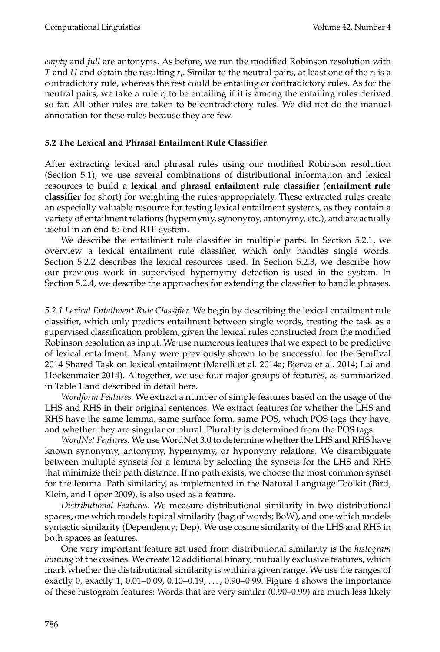*empty* and *full* are antonyms. As before, we run the modified Robinson resolution with *T* and *H* and obtain the resulting  $r_i$ . Similar to the neutral pairs, at least one of the  $r_i$  is a contradictory rule, whereas the rest could be entailing or contradictory rules. As for the neutral pairs, we take a rule *r<sup>i</sup>* to be entailing if it is among the entailing rules derived so far. All other rules are taken to be contradictory rules. We did not do the manual annotation for these rules because they are few.

# **5.2 The Lexical and Phrasal Entailment Rule Classifier**

After extracting lexical and phrasal rules using our modified Robinson resolution (Section 5.1), we use several combinations of distributional information and lexical resources to build a **lexical and phrasal entailment rule classifier** (**entailment rule classifier** for short) for weighting the rules appropriately. These extracted rules create an especially valuable resource for testing lexical entailment systems, as they contain a variety of entailment relations (hypernymy, synonymy, antonymy, etc.), and are actually useful in an end-to-end RTE system.

We describe the entailment rule classifier in multiple parts. In Section 5.2.1, we overview a lexical entailment rule classifier, which only handles single words. Section 5.2.2 describes the lexical resources used. In Section 5.2.3, we describe how our previous work in supervised hypernymy detection is used in the system. In Section 5.2.4, we describe the approaches for extending the classifier to handle phrases.

*5.2.1 Lexical Entailment Rule Classifier.* We begin by describing the lexical entailment rule classifier, which only predicts entailment between single words, treating the task as a supervised classification problem, given the lexical rules constructed from the modified Robinson resolution as input. We use numerous features that we expect to be predictive of lexical entailment. Many were previously shown to be successful for the SemEval 2014 Shared Task on lexical entailment (Marelli et al. 2014a; Bjerva et al. 2014; Lai and Hockenmaier 2014). Altogether, we use four major groups of features, as summarized in Table 1 and described in detail here.

*Wordform Features.* We extract a number of simple features based on the usage of the LHS and RHS in their original sentences. We extract features for whether the LHS and RHS have the same lemma, same surface form, same POS, which POS tags they have, and whether they are singular or plural. Plurality is determined from the POS tags.

*WordNet Features.* We use WordNet 3.0 to determine whether the LHS and RHS have known synonymy, antonymy, hypernymy, or hyponymy relations. We disambiguate between multiple synsets for a lemma by selecting the synsets for the LHS and RHS that minimize their path distance. If no path exists, we choose the most common synset for the lemma. Path similarity, as implemented in the Natural Language Toolkit (Bird, Klein, and Loper 2009), is also used as a feature.

*Distributional Features.* We measure distributional similarity in two distributional spaces, one which models topical similarity (bag of words; BoW), and one which models syntactic similarity (Dependency; Dep). We use cosine similarity of the LHS and RHS in both spaces as features.

One very important feature set used from distributional similarity is the *histogram binning* of the cosines. We create 12 additional binary, mutually exclusive features, which mark whether the distributional similarity is within a given range. We use the ranges of exactly 0, exactly 1, 0.01–0.09, 0.10–0.19, . . . , 0.90–0.99. Figure 4 shows the importance of these histogram features: Words that are very similar (0.90–0.99) are much less likely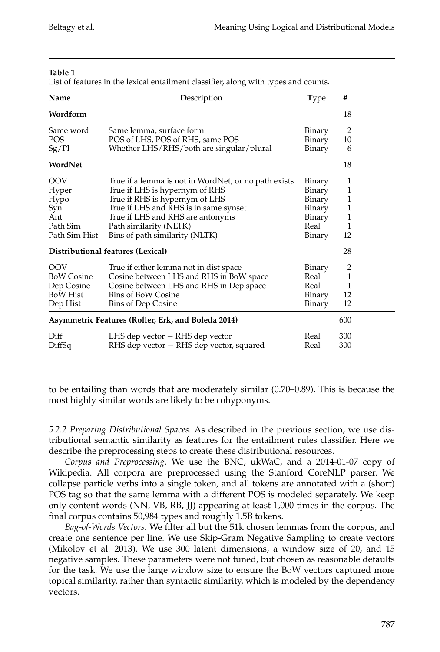List of features in the lexical entailment classifier, along with types and counts.

| Name                                               | Description                                                                        | <b>Type</b>      | #              |
|----------------------------------------------------|------------------------------------------------------------------------------------|------------------|----------------|
| Wordform                                           |                                                                                    |                  | 18             |
| Same word                                          | Same lemma, surface form                                                           | Binary           | $\overline{2}$ |
| POS<br>Sg/Pl                                       | POS of LHS, POS of RHS, same POS<br>Whether LHS/RHS/both are singular/plural       | Binary<br>Binary | 10<br>6        |
| WordNet                                            |                                                                                    |                  | 18             |
| OOV                                                | True if a lemma is not in WordNet, or no path exists                               | Binary           | 1              |
| Hyper                                              | True if LHS is hypernym of RHS                                                     | Binary           | 1              |
| Hypo                                               | True if RHS is hypernym of LHS                                                     | Binary           | 1              |
| Syn                                                | True if LHS and RHS is in same synset                                              | Binary           | 1              |
| Ant                                                | True if LHS and RHS are antonyms                                                   | Binary           | 1              |
| Path Sim                                           | Path similarity (NLTK)                                                             | Real             | 1              |
| Path Sim Hist                                      | Bins of path similarity (NLTK)                                                     | Binary           | 12             |
|                                                    | Distributional features (Lexical)                                                  |                  | 28             |
| <b>OOV</b>                                         | True if either lemma not in dist space                                             | Binary           | 2              |
| <b>BoW</b> Cosine                                  | Cosine between LHS and RHS in BoW space                                            | Real             | 1              |
| Dep Cosine                                         | Cosine between LHS and RHS in Dep space                                            | Real             | 1              |
| <b>BoW</b> Hist                                    | <b>Bins of BoW Cosine</b>                                                          | Binary           | 12             |
| Dep Hist                                           | Bins of Dep Cosine                                                                 | Binary           | 12             |
| Asymmetric Features (Roller, Erk, and Boleda 2014) |                                                                                    | 600              |                |
| Diff<br>DiffSq                                     | LHS dep vector $-$ RHS dep vector<br>$R$ HS dep vector $-$ RHS dep vector, squared | Real<br>Real     | 300<br>300     |
|                                                    |                                                                                    |                  |                |

to be entailing than words that are moderately similar (0.70–0.89). This is because the most highly similar words are likely to be cohyponyms.

*5.2.2 Preparing Distributional Spaces.* As described in the previous section, we use distributional semantic similarity as features for the entailment rules classifier. Here we describe the preprocessing steps to create these distributional resources.

*Corpus and Preprocessing.* We use the BNC, ukWaC, and a 2014-01-07 copy of Wikipedia. All corpora are preprocessed using the Stanford CoreNLP parser. We collapse particle verbs into a single token, and all tokens are annotated with a (short) POS tag so that the same lemma with a different POS is modeled separately. We keep only content words (NN, VB, RB, JJ) appearing at least 1,000 times in the corpus. The final corpus contains 50,984 types and roughly 1.5B tokens.

*Bag-of-Words Vectors.* We filter all but the 51k chosen lemmas from the corpus, and create one sentence per line. We use Skip-Gram Negative Sampling to create vectors (Mikolov et al. 2013). We use 300 latent dimensions, a window size of 20, and 15 negative samples. These parameters were not tuned, but chosen as reasonable defaults for the task. We use the large window size to ensure the BoW vectors captured more topical similarity, rather than syntactic similarity, which is modeled by the dependency vectors.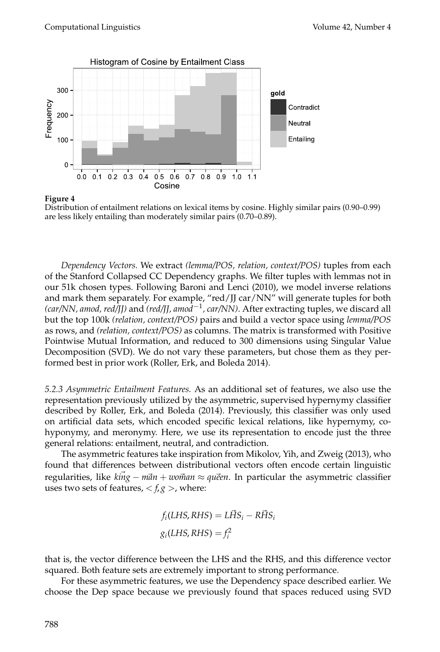

**Figure 4**

Distribution of entailment relations on lexical items by cosine. Highly similar pairs (0.90–0.99) are less likely entailing than moderately similar pairs (0.70–0.89).

*Dependency Vectors.* We extract *(lemma/POS, relation, context/POS)* tuples from each of the Stanford Collapsed CC Dependency graphs. We filter tuples with lemmas not in our 51k chosen types. Following Baroni and Lenci (2010), we model inverse relations and mark them separately. For example, "red/JJ car/NN" will generate tuples for both *(car/NN, amod, red/JJ)* and *(red/JJ, amod*−<sup>1</sup> *, car/NN)*. After extracting tuples, we discard all but the top 100k *(relation, context/POS)* pairs and build a vector space using *lemma/POS* as rows, and *(relation, context/POS)* as columns. The matrix is transformed with Positive Pointwise Mutual Information, and reduced to 300 dimensions using Singular Value Decomposition (SVD). We do not vary these parameters, but chose them as they performed best in prior work (Roller, Erk, and Boleda 2014).

*5.2.3 Asymmetric Entailment Features.* As an additional set of features, we also use the representation previously utilized by the asymmetric, supervised hypernymy classifier described by Roller, Erk, and Boleda (2014). Previously, this classifier was only used on artificial data sets, which encoded specific lexical relations, like hypernymy, cohyponymy, and meronymy. Here, we use its representation to encode just the three general relations: entailment, neutral, and contradiction.

The asymmetric features take inspiration from Mikolov, Yih, and Zweig (2013), who found that differences between distributional vectors often encode certain linguistic regularities, like *king* – *mān* + *wom̃an* ≈ *quēen*. In particular the asymmetric classifier uses two sets of features,  $\langle f, g \rangle$ , where:

$$
f_i(LHS, RHS) = L\vec{H}S_i - R\vec{H}S_i
$$

$$
g_i(LHS, RHS) = f_i^2
$$

that is, the vector difference between the LHS and the RHS, and this difference vector squared. Both feature sets are extremely important to strong performance.

For these asymmetric features, we use the Dependency space described earlier. We choose the Dep space because we previously found that spaces reduced using SVD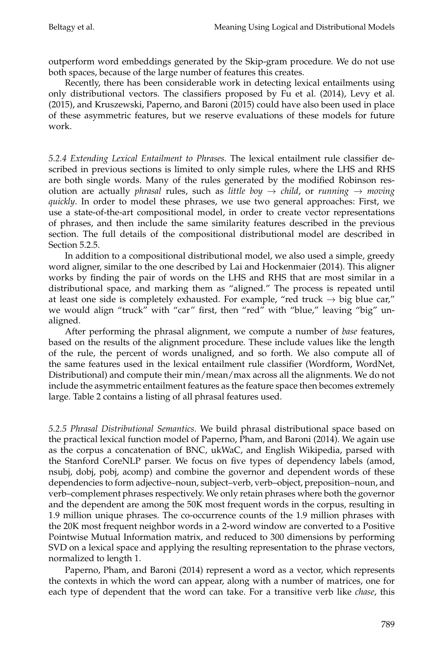outperform word embeddings generated by the Skip-gram procedure. We do not use both spaces, because of the large number of features this creates.

Recently, there has been considerable work in detecting lexical entailments using only distributional vectors. The classifiers proposed by Fu et al. (2014), Levy et al. (2015), and Kruszewski, Paperno, and Baroni (2015) could have also been used in place of these asymmetric features, but we reserve evaluations of these models for future work.

*5.2.4 Extending Lexical Entailment to Phrases.* The lexical entailment rule classifier described in previous sections is limited to only simple rules, where the LHS and RHS are both single words. Many of the rules generated by the modified Robinson resolution are actually *phrasal* rules, such as *little boy*  $\rightarrow$  *child*, or *running*  $\rightarrow$  *moving quickly*. In order to model these phrases, we use two general approaches: First, we use a state-of-the-art compositional model, in order to create vector representations of phrases, and then include the same similarity features described in the previous section. The full details of the compositional distributional model are described in Section 5.2.5.

In addition to a compositional distributional model, we also used a simple, greedy word aligner, similar to the one described by Lai and Hockenmaier (2014). This aligner works by finding the pair of words on the LHS and RHS that are most similar in a distributional space, and marking them as "aligned." The process is repeated until at least one side is completely exhausted. For example, "red truck  $\rightarrow$  big blue car," we would align "truck" with "car" first, then "red" with "blue," leaving "big" unaligned.

After performing the phrasal alignment, we compute a number of *base* features, based on the results of the alignment procedure. These include values like the length of the rule, the percent of words unaligned, and so forth. We also compute all of the same features used in the lexical entailment rule classifier (Wordform, WordNet, Distributional) and compute their min/mean/max across all the alignments. We do not include the asymmetric entailment features as the feature space then becomes extremely large. Table 2 contains a listing of all phrasal features used.

*5.2.5 Phrasal Distributional Semantics.* We build phrasal distributional space based on the practical lexical function model of Paperno, Pham, and Baroni (2014). We again use as the corpus a concatenation of BNC, ukWaC, and English Wikipedia, parsed with the Stanford CoreNLP parser. We focus on five types of dependency labels (amod, nsubj, dobj, pobj, acomp) and combine the governor and dependent words of these dependencies to form adjective–noun, subject–verb, verb–object, preposition–noun, and verb–complement phrases respectively. We only retain phrases where both the governor and the dependent are among the 50K most frequent words in the corpus, resulting in 1.9 million unique phrases. The co-occurrence counts of the 1.9 million phrases with the 20K most frequent neighbor words in a 2-word window are converted to a Positive Pointwise Mutual Information matrix, and reduced to 300 dimensions by performing SVD on a lexical space and applying the resulting representation to the phrase vectors, normalized to length 1.

Paperno, Pham, and Baroni (2014) represent a word as a vector, which represents the contexts in which the word can appear, along with a number of matrices, one for each type of dependent that the word can take. For a transitive verb like *chase*, this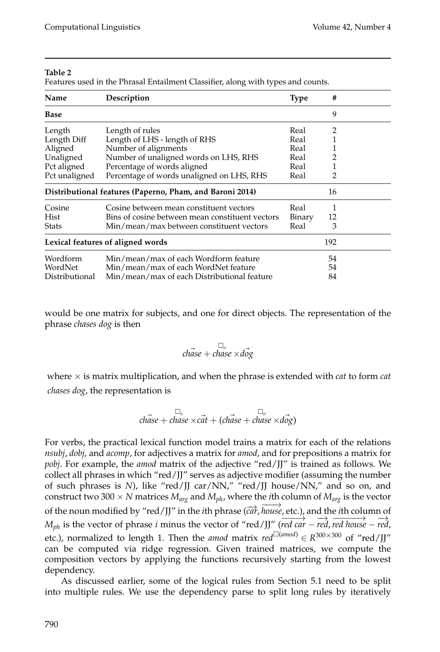Features used in the Phrasal Entailment Classifier, along with types and counts.

| Name                              | Description                                              | <b>Type</b> | #              |  |
|-----------------------------------|----------------------------------------------------------|-------------|----------------|--|
| Base                              |                                                          |             | 9              |  |
| Length                            | Length of rules                                          | Real        | 2              |  |
| Length Diff                       | Length of LHS - length of RHS                            | Real        | 1              |  |
| Aligned                           | Number of alignments                                     | Real        | 1              |  |
| Unaligned                         | Number of unaligned words on LHS, RHS                    | Real        | 2              |  |
| Pct aligned                       | Percentage of words aligned                              | Real        | 1              |  |
| Pct unaligned                     | Percentage of words unaligned on LHS, RHS                | Real        | $\overline{2}$ |  |
|                                   | Distributional features (Paperno, Pham, and Baroni 2014) |             | 16             |  |
| Cosine                            | Cosine between mean constituent vectors                  | Real        | 1              |  |
| Hist                              | Bins of cosine between mean constituent vectors          | Binary      | 12             |  |
| <b>Stats</b>                      | Min/mean/max between constituent vectors                 | Real        | 3              |  |
| Lexical features of aligned words |                                                          |             | 192            |  |
| Wordform                          | Min/mean/max of each Wordform feature                    |             | 54             |  |
| WordNet                           | Min/mean/max of each WordNet feature                     |             | 54             |  |
| Distributional                    | Min/mean/max of each Distributional feature              |             | 84             |  |

would be one matrix for subjects, and one for direct objects. The representation of the phrase *chases dog* is then

$$
\vec{chase} + \vec{chase} \times \vec{dog}
$$

where  $\times$  is matrix multiplication, and when the phrase is extended with *cat* to form *cat chases dog*, the representation is

$$
\vec{chase} + \vec{chase} \times \vec{cat} + (\vec{chase} + \vec{chase} \times \vec{dog})
$$

For verbs, the practical lexical function model trains a matrix for each of the relations *nsubj*, *dobj,* and *acomp*, for adjectives a matrix for *amod*, and for prepositions a matrix for *pobj*. For example, the *amod* matrix of the adjective "red/JJ" is trained as follows. We collect all phrases in which "red/JJ" serves as adjective modifier (assuming the number of such phrases is *N*), like "red/JJ car/NN," "red/JJ house/NN," and so on, and construct two 300  $\times$  *N* matrices  $M_{arg}$  and  $M_{ph}$ , where the *i*th column of  $M_{arg}$  is the vector of the noun modified by "red/JJ" in the *i*th phrase ( $\overrightarrow{car}$ , *house*, etc.), and the *i*th column of  $M_{ph}$  is the vector of phrase *i* minus the vector of "red/JJ" ( $\text{red car} - \text{red}$ ,  $\text{red}$  house  $-\text{red}$ , etc.), normalized to length 1. Then the *amod* matrix  $red^{\Box$ (*amod*)  $\in R^{300\times300}$  of "red/JJ" can be computed via ridge regression. Given trained matrices, we compute the composition vectors by applying the functions recursively starting from the lowest dependency.

As discussed earlier, some of the logical rules from Section 5.1 need to be split into multiple rules. We use the dependency parse to split long rules by iteratively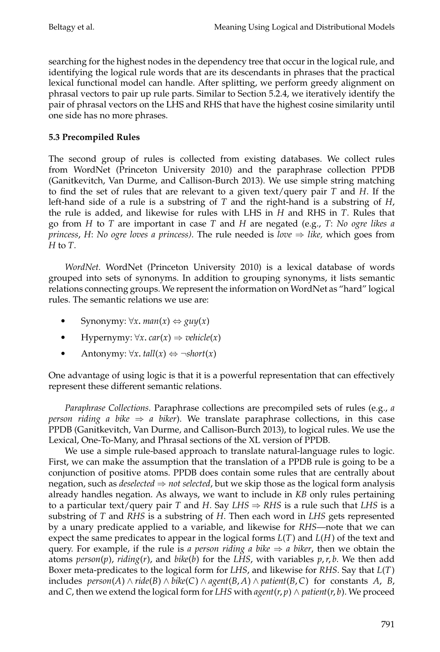searching for the highest nodes in the dependency tree that occur in the logical rule, and identifying the logical rule words that are its descendants in phrases that the practical lexical functional model can handle. After splitting, we perform greedy alignment on phrasal vectors to pair up rule parts. Similar to Section 5.2.4, we iteratively identify the pair of phrasal vectors on the LHS and RHS that have the highest cosine similarity until one side has no more phrases.

# **5.3 Precompiled Rules**

The second group of rules is collected from existing databases. We collect rules from WordNet (Princeton University 2010) and the paraphrase collection PPDB (Ganitkevitch, Van Durme, and Callison-Burch 2013). We use simple string matching to find the set of rules that are relevant to a given text/query pair *T* and *H*. If the left-hand side of a rule is a substring of *T* and the right-hand is a substring of *H*, the rule is added, and likewise for rules with LHS in *H* and RHS in *T*. Rules that go from *H* to *T* are important in case *T* and *H* are negated (e.g., *T*: *No ogre likes a princess, H: No ogre loves a princess).* The rule needed is *love*  $\Rightarrow$  *like,* which goes from *H* to *T*.

*WordNet.* WordNet (Princeton University 2010) is a lexical database of words grouped into sets of synonyms. In addition to grouping synonyms, it lists semantic relations connecting groups. We represent the information on WordNet as "hard" logical rules. The semantic relations we use are:

- Synonymy:  $\forall x$ . *man*(*x*) ⇔ *guy*(*x*)
- $Hypernymy: \forall x. car(x) \Rightarrow vehicle(x)$
- **•** Antonymy:  $\forall x$ . *tall*(*x*) ⇔ ¬*short*(*x*)

One advantage of using logic is that it is a powerful representation that can effectively represent these different semantic relations.

*Paraphrase Collections.* Paraphrase collections are precompiled sets of rules (e.g., *a person riding a bike*  $\Rightarrow$  *a biker*). We translate paraphrase collections, in this case PPDB (Ganitkevitch, Van Durme, and Callison-Burch 2013), to logical rules. We use the Lexical, One-To-Many, and Phrasal sections of the XL version of PPDB.

We use a simple rule-based approach to translate natural-language rules to logic. First, we can make the assumption that the translation of a PPDB rule is going to be a conjunction of positive atoms. PPDB does contain some rules that are centrally about negation, such as *deselected* ⇒ *not selected*, but we skip those as the logical form analysis already handles negation. As always, we want to include in *KB* only rules pertaining to a particular text/query pair *T* and *H*. Say *LHS*  $\Rightarrow$  *RHS* is a rule such that *LHS* is a substring of *T* and *RHS* is a substring of *H*. Then each word in *LHS* gets represented by a unary predicate applied to a variable, and likewise for *RHS*—note that we can expect the same predicates to appear in the logical forms  $L(T)$  and  $L(H)$  of the text and query. For example, if the rule is *a person riding a bike*  $\Rightarrow$  *a biker*, then we obtain the atoms *person*(*p*), *riding*(*r*), and *bike*(*b*) for the *LHS*, with variables *p*,*r*, *b*. We then add Boxer meta-predicates to the logical form for *LHS*, and likewise for *RHS*. Say that *L*(*T*) includes *person*(*A*) ∧ *ride*(*B*) ∧ *bike*(*C*) ∧ *agent*(*B*, *A*) ∧ *patient*(*B*,*C*) for constants *A*, *B*, and *C*, then we extend the logical form for *LHS* with *agent*( $r$ ,  $p$ )  $\land$  *patient*( $r$ ,  $b$ ). We proceed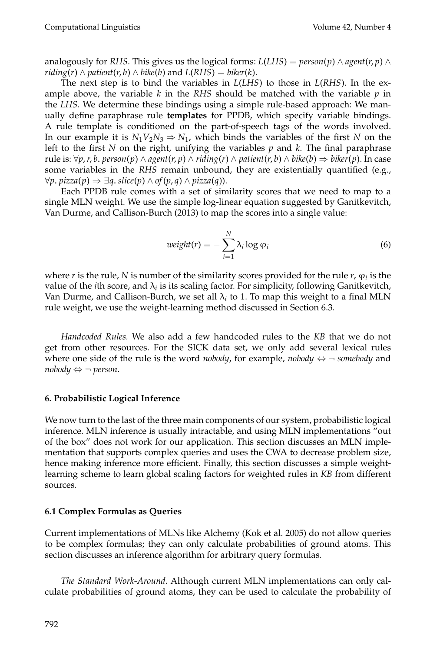analogously for *RHS*. This gives us the logical forms:  $L(LHS) = person(p) \land agent(r, p) \land$ *riding*(*r*) ∧ *patient*(*r*, *b*) ∧ *bike*(*b*) and *L*(*RHS*) = *biker*(*k*).

The next step is to bind the variables in *L*(*LHS*) to those in *L*(*RHS*). In the example above, the variable  $k$  in the *RHS* should be matched with the variable  $p$  in the *LHS*. We determine these bindings using a simple rule-based approach: We manually define paraphrase rule **templates** for PPDB, which specify variable bindings. A rule template is conditioned on the part-of-speech tags of the words involved. In our example it is  $N_1V_2N_3 \Rightarrow N_1$ , which binds the variables of the first *N* on the left to the first N on the right, unifying the variables  $p$  and  $k$ . The final paraphrase *rule is:*  $\forall p, r, b$ . *person*(*p*) ∧ *agent*(*r*, *p*) ∧ *riding*(*r*) ∧ *patient*(*r*, *b*) ∧ *bike*(*b*)  $\Rightarrow$  *biker*(*p*). In case some variables in the *RHS* remain unbound, they are existentially quantified (e.g., ∀*p*. *pizza*(*p*) ⇒ ∃*q*. *slice*(*p*) ∧ *of*(*p*, *q*) ∧ *pizza*(*q*)).

Each PPDB rule comes with a set of similarity scores that we need to map to a single MLN weight. We use the simple log-linear equation suggested by Ganitkevitch, Van Durme, and Callison-Burch (2013) to map the scores into a single value:

$$
weight(r) = -\sum_{i=1}^{N} \lambda_i \log \varphi_i \tag{6}
$$

where *r* is the rule, *N* is number of the similarity scores provided for the rule *r*,  $\varphi_i$  is the value of the *i*th score, and  $\lambda_i$  is its scaling factor. For simplicity, following Ganitkevitch, Van Durme, and Callison-Burch, we set all  $\lambda_i$  to 1. To map this weight to a final MLN rule weight, we use the weight-learning method discussed in Section 6.3.

*Handcoded Rules.* We also add a few handcoded rules to the *KB* that we do not get from other resources. For the SICK data set, we only add several lexical rules where one side of the rule is the word *nobody*, for example, *nobody*  $\Leftrightarrow \neg$  *somebody* and *nobody* ⇔ ¬ *person*.

#### **6. Probabilistic Logical Inference**

We now turn to the last of the three main components of our system, probabilistic logical inference. MLN inference is usually intractable, and using MLN implementations "out of the box" does not work for our application. This section discusses an MLN implementation that supports complex queries and uses the CWA to decrease problem size, hence making inference more efficient. Finally, this section discusses a simple weightlearning scheme to learn global scaling factors for weighted rules in *KB* from different sources.

# **6.1 Complex Formulas as Queries**

Current implementations of MLNs like Alchemy (Kok et al. 2005) do not allow queries to be complex formulas; they can only calculate probabilities of ground atoms. This section discusses an inference algorithm for arbitrary query formulas.

*The Standard Work-Around.* Although current MLN implementations can only calculate probabilities of ground atoms, they can be used to calculate the probability of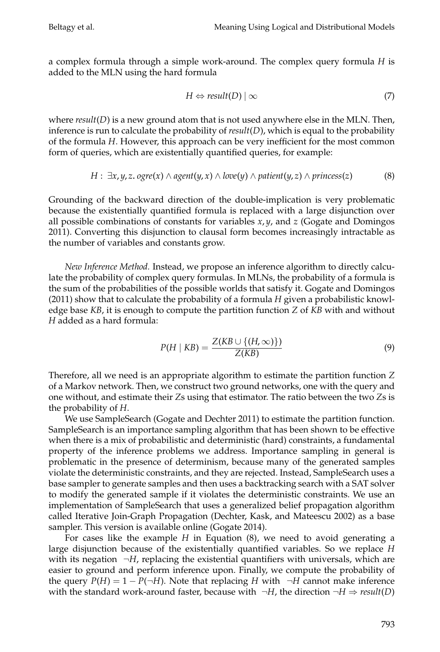a complex formula through a simple work-around. The complex query formula *H* is added to the MLN using the hard formula

$$
H \Leftrightarrow result(D) \mid \infty \tag{7}
$$

where *result*(*D*) is a new ground atom that is not used anywhere else in the MLN. Then, inference is run to calculate the probability of *result*(*D*), which is equal to the probability of the formula *H*. However, this approach can be very inefficient for the most common form of queries, which are existentially quantified queries, for example:

$$
H: \exists x, y, z. \text{ ogre}(x) \land \text{ agent}(y, x) \land \text{love}(y) \land \text{ patient}(y, z) \land \text{ princes}(z)
$$
 (8)

Grounding of the backward direction of the double-implication is very problematic because the existentially quantified formula is replaced with a large disjunction over all possible combinations of constants for variables  $x, y$ , and  $z$  (Gogate and Domingos 2011). Converting this disjunction to clausal form becomes increasingly intractable as the number of variables and constants grow.

*New Inference Method.* Instead, we propose an inference algorithm to directly calculate the probability of complex query formulas. In MLNs, the probability of a formula is the sum of the probabilities of the possible worlds that satisfy it. Gogate and Domingos (2011) show that to calculate the probability of a formula *H* given a probabilistic knowledge base *KB*, it is enough to compute the partition function *Z* of *KB* with and without *H* added as a hard formula:

$$
P(H \mid KB) = \frac{Z(KB \cup \{(H, \infty)\})}{Z(KB)}
$$
\n(9)

Therefore, all we need is an appropriate algorithm to estimate the partition function *Z* of a Markov network. Then, we construct two ground networks, one with the query and one without, and estimate their *Z*s using that estimator. The ratio between the two *Z*s is the probability of *H*.

We use SampleSearch (Gogate and Dechter 2011) to estimate the partition function. SampleSearch is an importance sampling algorithm that has been shown to be effective when there is a mix of probabilistic and deterministic (hard) constraints, a fundamental property of the inference problems we address. Importance sampling in general is problematic in the presence of determinism, because many of the generated samples violate the deterministic constraints, and they are rejected. Instead, SampleSearch uses a base sampler to generate samples and then uses a backtracking search with a SAT solver to modify the generated sample if it violates the deterministic constraints. We use an implementation of SampleSearch that uses a generalized belief propagation algorithm called Iterative Join-Graph Propagation (Dechter, Kask, and Mateescu 2002) as a base sampler. This version is available online (Gogate 2014).

For cases like the example *H* in Equation (8), we need to avoid generating a large disjunction because of the existentially quantified variables. So we replace *H* with its negation  $\neg H$ , replacing the existential quantifiers with universals, which are easier to ground and perform inference upon. Finally, we compute the probability of the query  $P(H) = 1 - P(\neg H)$ . Note that replacing *H* with  $\neg H$  cannot make inference with the standard work-around faster, because with  $\neg H$ , the direction  $\neg H ⇒ result(D)$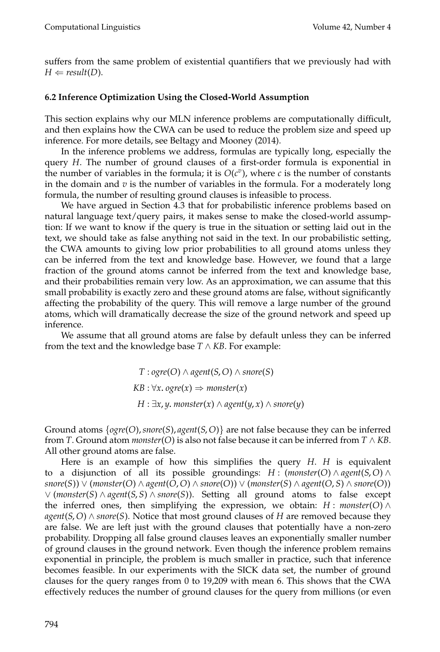suffers from the same problem of existential quantifiers that we previously had with  $H \Leftarrow \text{result}(D).$ 

## **6.2 Inference Optimization Using the Closed-World Assumption**

This section explains why our MLN inference problems are computationally difficult, and then explains how the CWA can be used to reduce the problem size and speed up inference. For more details, see Beltagy and Mooney (2014).

In the inference problems we address, formulas are typically long, especially the query *H*. The number of ground clauses of a first-order formula is exponential in the number of variables in the formula; it is  $O(c^v)$ , where *c* is the number of constants in the domain and  $v$  is the number of variables in the formula. For a moderately long formula, the number of resulting ground clauses is infeasible to process.

We have argued in Section 4.3 that for probabilistic inference problems based on natural language text/query pairs, it makes sense to make the closed-world assumption: If we want to know if the query is true in the situation or setting laid out in the text, we should take as false anything not said in the text. In our probabilistic setting, the CWA amounts to giving low prior probabilities to all ground atoms unless they can be inferred from the text and knowledge base. However, we found that a large fraction of the ground atoms cannot be inferred from the text and knowledge base, and their probabilities remain very low. As an approximation, we can assume that this small probability is exactly zero and these ground atoms are false, without significantly affecting the probability of the query. This will remove a large number of the ground atoms, which will dramatically decrease the size of the ground network and speed up inference.

We assume that all ground atoms are false by default unless they can be inferred from the text and the knowledge base *T* ∧ *KB*. For example:

> *T* : *ogre*(*O*) ∧ *agent*(*S*, *O*) ∧ *snore*(*S*)  $KB: \forall x. \text{ ogre}(x) \Rightarrow \text{monster}(x)$ *H* :  $∃x, y$ *. monster*(*x*) ∧ *agent*(*y*, *x*) ∧ *snore*(*y*)

Ground atoms {*ogre*(*O*),*snore*(*S*), *agent*(*S*, *O*)} are not false because they can be inferred from *T*. Ground atom *monster*(*O*) is also not false because it can be inferred from *T*  $\wedge$  *KB*. All other ground atoms are false.

Here is an example of how this simplifies the query *H*. *H* is equivalent to a disjunction of all its possible groundings: *H* : (*monster*(*O*)  $\land$  *agent*(*S*, *O*)  $\land$ *snore*(*S*)) ∨ (*monster*(*O*) ∧ *agent*(*O*, *O*) ∧ *snore*(*O*)) ∨ (*monster*(*S*) ∧ *agent*(*O*, *S*) ∧ *snore*(*O*)) ∨ (*monster*(*S*) ∧ *agent*(*S*, *S*) ∧ *snore*(*S*)). Setting all ground atoms to false except the inferred ones, then simplifying the expression, we obtain:  $H$ : *monster*(*O*)  $\wedge$  $agent(S, O) \land snore(S)$ . Notice that most ground clauses of *H* are removed because they are false. We are left just with the ground clauses that potentially have a non-zero probability. Dropping all false ground clauses leaves an exponentially smaller number of ground clauses in the ground network. Even though the inference problem remains exponential in principle, the problem is much smaller in practice, such that inference becomes feasible. In our experiments with the SICK data set, the number of ground clauses for the query ranges from 0 to 19,209 with mean 6. This shows that the CWA effectively reduces the number of ground clauses for the query from millions (or even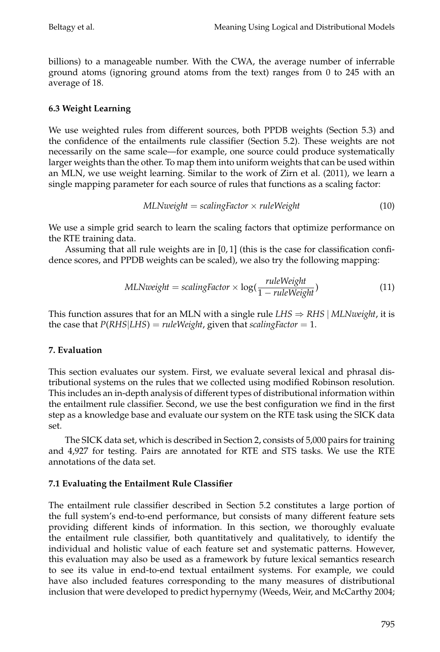billions) to a manageable number. With the CWA, the average number of inferrable ground atoms (ignoring ground atoms from the text) ranges from 0 to 245 with an average of 18.

# **6.3 Weight Learning**

We use weighted rules from different sources, both PPDB weights (Section 5.3) and the confidence of the entailments rule classifier (Section 5.2). These weights are not necessarily on the same scale—for example, one source could produce systematically larger weights than the other. To map them into uniform weights that can be used within an MLN, we use weight learning. Similar to the work of Zirn et al. (2011), we learn a single mapping parameter for each source of rules that functions as a scaling factor:

$$
MLNweight = scalingFactor \times ruleWeight
$$
 (10)

We use a simple grid search to learn the scaling factors that optimize performance on the RTE training data.

Assuming that all rule weights are in  $[0, 1]$  (this is the case for classification confidence scores, and PPDB weights can be scaled), we also try the following mapping:

$$
MLNweight = scalingFactor \times \log(\frac{ruleWeight}{1 - ruleWeight})
$$
\n(11)

This function assures that for an MLN with a single rule *LHS*  $\Rightarrow$  *RHS* | *MLNweight*, it is the case that  $P(RHS|LHS) = ruleWeight$ , given that *scalingFactor* = 1.

# **7. Evaluation**

This section evaluates our system. First, we evaluate several lexical and phrasal distributional systems on the rules that we collected using modified Robinson resolution. This includes an in-depth analysis of different types of distributional information within the entailment rule classifier. Second, we use the best configuration we find in the first step as a knowledge base and evaluate our system on the RTE task using the SICK data set.

The SICK data set, which is described in Section 2, consists of 5,000 pairs for training and 4,927 for testing. Pairs are annotated for RTE and STS tasks. We use the RTE annotations of the data set.

# **7.1 Evaluating the Entailment Rule Classifier**

The entailment rule classifier described in Section 5.2 constitutes a large portion of the full system's end-to-end performance, but consists of many different feature sets providing different kinds of information. In this section, we thoroughly evaluate the entailment rule classifier, both quantitatively and qualitatively, to identify the individual and holistic value of each feature set and systematic patterns. However, this evaluation may also be used as a framework by future lexical semantics research to see its value in end-to-end textual entailment systems. For example, we could have also included features corresponding to the many measures of distributional inclusion that were developed to predict hypernymy (Weeds, Weir, and McCarthy 2004;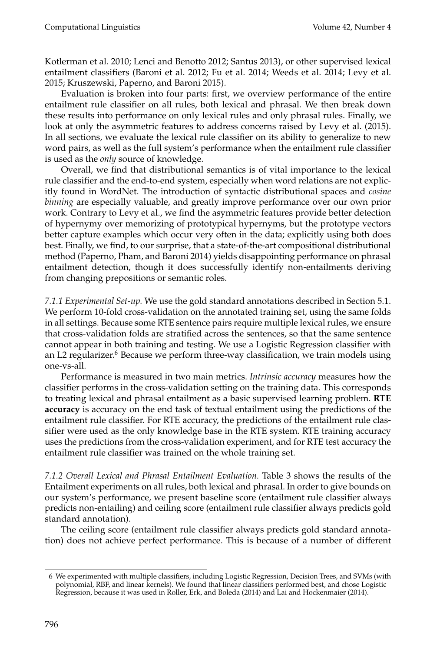Kotlerman et al. 2010; Lenci and Benotto 2012; Santus 2013), or other supervised lexical entailment classifiers (Baroni et al. 2012; Fu et al. 2014; Weeds et al. 2014; Levy et al. 2015; Kruszewski, Paperno, and Baroni 2015).

Evaluation is broken into four parts: first, we overview performance of the entire entailment rule classifier on all rules, both lexical and phrasal. We then break down these results into performance on only lexical rules and only phrasal rules. Finally, we look at only the asymmetric features to address concerns raised by Levy et al. (2015). In all sections, we evaluate the lexical rule classifier on its ability to generalize to new word pairs, as well as the full system's performance when the entailment rule classifier is used as the *only* source of knowledge.

Overall, we find that distributional semantics is of vital importance to the lexical rule classifier and the end-to-end system, especially when word relations are not explicitly found in WordNet. The introduction of syntactic distributional spaces and *cosine binning* are especially valuable, and greatly improve performance over our own prior work. Contrary to Levy et al., we find the asymmetric features provide better detection of hypernymy over memorizing of prototypical hypernyms, but the prototype vectors better capture examples which occur very often in the data; explicitly using both does best. Finally, we find, to our surprise, that a state-of-the-art compositional distributional method (Paperno, Pham, and Baroni 2014) yields disappointing performance on phrasal entailment detection, though it does successfully identify non-entailments deriving from changing prepositions or semantic roles.

*7.1.1 Experimental Set-up.* We use the gold standard annotations described in Section 5.1. We perform 10-fold cross-validation on the annotated training set, using the same folds in all settings. Because some RTE sentence pairs require multiple lexical rules, we ensure that cross-validation folds are stratified across the sentences, so that the same sentence cannot appear in both training and testing. We use a Logistic Regression classifier with an L2 regularizer.<sup>6</sup> Because we perform three-way classification, we train models using one-vs-all.

Performance is measured in two main metrics. *Intrinsic accuracy* measures how the classifier performs in the cross-validation setting on the training data. This corresponds to treating lexical and phrasal entailment as a basic supervised learning problem. **RTE accuracy** is accuracy on the end task of textual entailment using the predictions of the entailment rule classifier. For RTE accuracy, the predictions of the entailment rule classifier were used as the only knowledge base in the RTE system. RTE training accuracy uses the predictions from the cross-validation experiment, and for RTE test accuracy the entailment rule classifier was trained on the whole training set.

*7.1.2 Overall Lexical and Phrasal Entailment Evaluation.* Table 3 shows the results of the Entailment experiments on all rules, both lexical and phrasal. In order to give bounds on our system's performance, we present baseline score (entailment rule classifier always predicts non-entailing) and ceiling score (entailment rule classifier always predicts gold standard annotation).

The ceiling score (entailment rule classifier always predicts gold standard annotation) does not achieve perfect performance. This is because of a number of different

<sup>6</sup> We experimented with multiple classifiers, including Logistic Regression, Decision Trees, and SVMs (with polynomial, RBF, and linear kernels). We found that linear classifiers performed best, and chose Logistic Regression, because it was used in Roller, Erk, and Boleda (2014) and Lai and Hockenmaier (2014).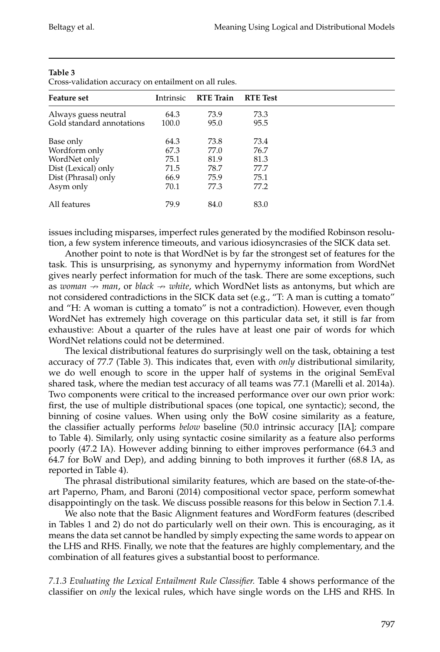| <b>Feature set</b>        | <b>Intrinsic</b> | <b>RTE Train</b> | <b>RTE Test</b> |
|---------------------------|------------------|------------------|-----------------|
| Always guess neutral      | 64.3             | 73.9             | 73.3            |
| Gold standard annotations | 100.0            | 95.0             | 95.5            |
| Base only                 | 64.3             | 73.8             | 73.4            |
| Wordform only             | 67.3             | 77.0             | 76.7            |
| WordNet only              | 75.1             | 81.9             | 81.3            |
| Dist (Lexical) only       | 71.5             | 78.7             | 77.7            |
| Dist (Phrasal) only       | 66.9             | 75.9             | 75.1            |
| Asym only                 | 70.1             | 77.3             | 77.2            |
| All features              | 79.9             | 84.0             | 83.0            |

Cross-validation accuracy on entailment on all rules.

issues including misparses, imperfect rules generated by the modified Robinson resolution, a few system inference timeouts, and various idiosyncrasies of the SICK data set.

Another point to note is that WordNet is by far the strongest set of features for the task. This is unsurprising, as synonymy and hypernymy information from WordNet gives nearly perfect information for much of the task. There are some exceptions, such as *woman*  $\rightarrow$  *man*, or *black*  $\rightarrow$  *white*, which WordNet lists as antonyms, but which are not considered contradictions in the SICK data set (e.g., "T: A man is cutting a tomato" and "H: A woman is cutting a tomato" is not a contradiction). However, even though WordNet has extremely high coverage on this particular data set, it still is far from exhaustive: About a quarter of the rules have at least one pair of words for which WordNet relations could not be determined.

The lexical distributional features do surprisingly well on the task, obtaining a test accuracy of 77.7 (Table 3). This indicates that, even with *only* distributional similarity, we do well enough to score in the upper half of systems in the original SemEval shared task, where the median test accuracy of all teams was 77.1 (Marelli et al. 2014a). Two components were critical to the increased performance over our own prior work: first, the use of multiple distributional spaces (one topical, one syntactic); second, the binning of cosine values. When using only the BoW cosine similarity as a feature, the classifier actually performs *below* baseline (50.0 intrinsic accuracy [IA]; compare to Table 4). Similarly, only using syntactic cosine similarity as a feature also performs poorly (47.2 IA). However adding binning to either improves performance (64.3 and 64.7 for BoW and Dep), and adding binning to both improves it further (68.8 IA, as reported in Table 4).

The phrasal distributional similarity features, which are based on the state-of-theart Paperno, Pham, and Baroni (2014) compositional vector space, perform somewhat disappointingly on the task. We discuss possible reasons for this below in Section 7.1.4.

We also note that the Basic Alignment features and WordForm features (described in Tables 1 and 2) do not do particularly well on their own. This is encouraging, as it means the data set cannot be handled by simply expecting the same words to appear on the LHS and RHS. Finally, we note that the features are highly complementary, and the combination of all features gives a substantial boost to performance.

*7.1.3 Evaluating the Lexical Entailment Rule Classifier.* Table 4 shows performance of the classifier on *only* the lexical rules, which have single words on the LHS and RHS. In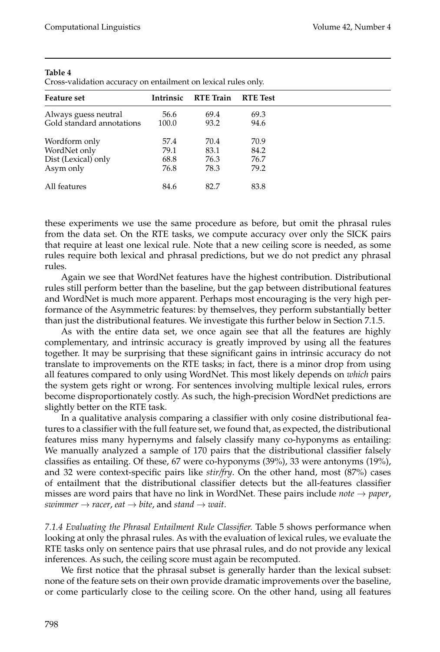| <b>Feature set</b>        | Intrinsic | <b>RTE</b> Train | <b>RTE</b> Test |  |
|---------------------------|-----------|------------------|-----------------|--|
| Always guess neutral      | 56.6      | 69.4             | 69.3            |  |
| Gold standard annotations | 100.0     | 93.2             | 94.6            |  |
| Wordform only             | 57.4      | 70.4             | 70.9            |  |
| WordNet only              | 79.1      | 83.1             | 84.2            |  |
| Dist (Lexical) only       | 68.8      | 76.3             | 76.7            |  |
| Asym only                 | 76.8      | 78.3             | 79.2            |  |
| All features              | 84.6      | 82.7             | 83.8            |  |

Cross-validation accuracy on entailment on lexical rules only.

these experiments we use the same procedure as before, but omit the phrasal rules from the data set. On the RTE tasks, we compute accuracy over only the SICK pairs that require at least one lexical rule. Note that a new ceiling score is needed, as some rules require both lexical and phrasal predictions, but we do not predict any phrasal rules.

Again we see that WordNet features have the highest contribution. Distributional rules still perform better than the baseline, but the gap between distributional features and WordNet is much more apparent. Perhaps most encouraging is the very high performance of the Asymmetric features: by themselves, they perform substantially better than just the distributional features. We investigate this further below in Section 7.1.5.

As with the entire data set, we once again see that all the features are highly complementary, and intrinsic accuracy is greatly improved by using all the features together. It may be surprising that these significant gains in intrinsic accuracy do not translate to improvements on the RTE tasks; in fact, there is a minor drop from using all features compared to only using WordNet. This most likely depends on *which* pairs the system gets right or wrong. For sentences involving multiple lexical rules, errors become disproportionately costly. As such, the high-precision WordNet predictions are slightly better on the RTE task.

In a qualitative analysis comparing a classifier with only cosine distributional features to a classifier with the full feature set, we found that, as expected, the distributional features miss many hypernyms and falsely classify many co-hyponyms as entailing: We manually analyzed a sample of 170 pairs that the distributional classifier falsely classifies as entailing. Of these, 67 were co-hyponyms (39%), 33 were antonyms (19%), and 32 were context-specific pairs like *stir/fry*. On the other hand, most (87%) cases of entailment that the distributional classifier detects but the all-features classifier misses are word pairs that have no link in WordNet. These pairs include *note*  $\rightarrow$  *paper*, *swimmer*  $\rightarrow$  *racer*, *eat*  $\rightarrow$  *bite*, and *stand*  $\rightarrow$  *wait*.

*7.1.4 Evaluating the Phrasal Entailment Rule Classifier.* Table 5 shows performance when looking at only the phrasal rules. As with the evaluation of lexical rules, we evaluate the RTE tasks only on sentence pairs that use phrasal rules, and do not provide any lexical inferences. As such, the ceiling score must again be recomputed.

We first notice that the phrasal subset is generally harder than the lexical subset: none of the feature sets on their own provide dramatic improvements over the baseline, or come particularly close to the ceiling score. On the other hand, using all features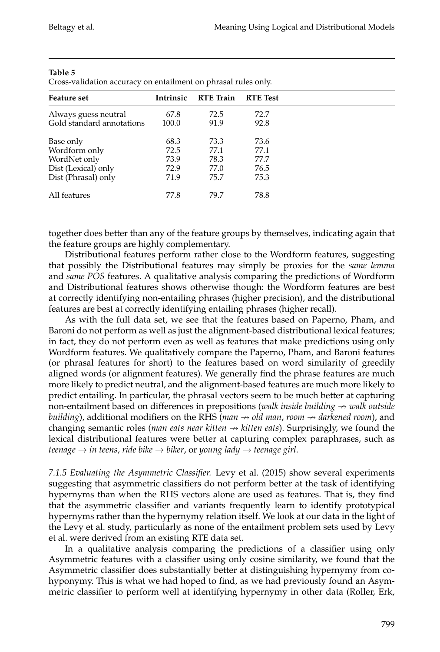| <b>Feature set</b>        | Intrinsic | <b>RTE</b> Train | <b>RTE</b> Test |
|---------------------------|-----------|------------------|-----------------|
| Always guess neutral      | 67.8      | 72.5             | 72.7            |
| Gold standard annotations | 100.0     | 91.9             | 92.8            |
| Base only                 | 68.3      | 73.3             | 73.6            |
| Wordform only             | 72.5      | 77.1             | 77.1            |
| WordNet only              | 73.9      | 78.3             | 77.7            |
| Dist (Lexical) only       | 72.9      | 77.0             | 76.5            |
| Dist (Phrasal) only       | 71.9      | 75.7             | 75.3            |
| All features              | 77.8      | 79.7             | 78.8            |

Cross-validation accuracy on entailment on phrasal rules only.

together does better than any of the feature groups by themselves, indicating again that the feature groups are highly complementary.

Distributional features perform rather close to the Wordform features, suggesting that possibly the Distributional features may simply be proxies for the *same lemma* and *same POS* features. A qualitative analysis comparing the predictions of Wordform and Distributional features shows otherwise though: the Wordform features are best at correctly identifying non-entailing phrases (higher precision), and the distributional features are best at correctly identifying entailing phrases (higher recall).

As with the full data set, we see that the features based on Paperno, Pham, and Baroni do not perform as well as just the alignment-based distributional lexical features; in fact, they do not perform even as well as features that make predictions using only Wordform features. We qualitatively compare the Paperno, Pham, and Baroni features (or phrasal features for short) to the features based on word similarity of greedily aligned words (or alignment features). We generally find the phrase features are much more likely to predict neutral, and the alignment-based features are much more likely to predict entailing. In particular, the phrasal vectors seem to be much better at capturing non-entailment based on differences in prepositions (*walk inside building*  $\rightarrow$  *walk outside building*), additional modifiers on the RHS (*man*  $\rightarrow$  *old man*, *room*  $\rightarrow$  *darkened room*), and changing semantic roles (*man eats near kitten*  $\rightarrow$  *kitten eats*). Surprisingly, we found the lexical distributional features were better at capturing complex paraphrases, such as *teenage* → *in teens*, *ride bike* → *biker*, or *young lady* → *teenage girl*.

*7.1.5 Evaluating the Asymmetric Classifier.* Levy et al. (2015) show several experiments suggesting that asymmetric classifiers do not perform better at the task of identifying hypernyms than when the RHS vectors alone are used as features. That is, they find that the asymmetric classifier and variants frequently learn to identify prototypical hypernyms rather than the hypernymy relation itself. We look at our data in the light of the Levy et al. study, particularly as none of the entailment problem sets used by Levy et al. were derived from an existing RTE data set.

In a qualitative analysis comparing the predictions of a classifier using only Asymmetric features with a classifier using only cosine similarity, we found that the Asymmetric classifier does substantially better at distinguishing hypernymy from cohyponymy. This is what we had hoped to find, as we had previously found an Asymmetric classifier to perform well at identifying hypernymy in other data (Roller, Erk,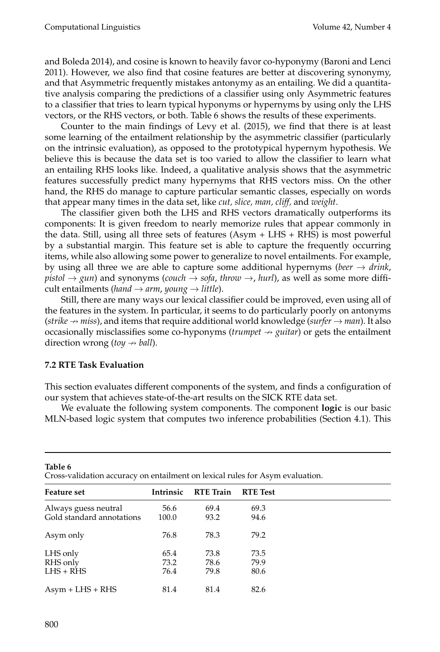and Boleda 2014), and cosine is known to heavily favor co-hyponymy (Baroni and Lenci 2011). However, we also find that cosine features are better at discovering synonymy, and that Asymmetric frequently mistakes antonymy as an entailing. We did a quantitative analysis comparing the predictions of a classifier using only Asymmetric features to a classifier that tries to learn typical hyponyms or hypernyms by using only the LHS vectors, or the RHS vectors, or both. Table 6 shows the results of these experiments.

Counter to the main findings of Levy et al. (2015), we find that there is at least some learning of the entailment relationship by the asymmetric classifier (particularly on the intrinsic evaluation), as opposed to the prototypical hypernym hypothesis. We believe this is because the data set is too varied to allow the classifier to learn what an entailing RHS looks like. Indeed, a qualitative analysis shows that the asymmetric features successfully predict many hypernyms that RHS vectors miss. On the other hand, the RHS do manage to capture particular semantic classes, especially on words that appear many times in the data set, like *cut, slice, man, cliff,* and *weight*.

The classifier given both the LHS and RHS vectors dramatically outperforms its components: It is given freedom to nearly memorize rules that appear commonly in the data. Still, using all three sets of features (Asym + LHS + RHS) is most powerful by a substantial margin. This feature set is able to capture the frequently occurring items, while also allowing some power to generalize to novel entailments. For example, by using all three we are able to capture some additional hypernyms (*beer*  $\rightarrow$  *drink*, *pistol*  $\rightarrow$  *gun*) and synonyms (*couch*  $\rightarrow$  *sofa*, *throw*  $\rightarrow$ , *hurl*), as well as some more difficult entailments (*hand*  $\rightarrow$  *arm*, *young*  $\rightarrow$  *little*).

Still, there are many ways our lexical classifier could be improved, even using all of the features in the system. In particular, it seems to do particularly poorly on antonyms  $(\textit{strike} \rightarrow \textit{miss})$ , and items that require additional world knowledge (*surfer*  $\rightarrow$  *man*). It also occasionally misclassifies some co-hyponyms (*trumpet*  $\rightarrow$  *guitar*) or gets the entailment direction wrong (*toy*  $\rightarrow$  *ball*).

# **7.2 RTE Task Evaluation**

This section evaluates different components of the system, and finds a configuration of our system that achieves state-of-the-art results on the SICK RTE data set.

We evaluate the following system components. The component **logic** is our basic MLN-based logic system that computes two inference probabilities (Section 4.1). This

| Cross-validation accuracy on entailment on lexical rules for Asym evaluation. |                      |                      |                      |  |  |
|-------------------------------------------------------------------------------|----------------------|----------------------|----------------------|--|--|
| <b>Feature set</b>                                                            | Intrinsic            | <b>RTE Train</b>     | <b>RTE</b> Test      |  |  |
| Always guess neutral<br>Gold standard annotations                             | 56.6<br>100.0        | 69.4<br>93.2         | 69.3<br>94.6         |  |  |
| Asym only                                                                     | 76.8                 | 78.3                 | 79.2                 |  |  |
| LHS only<br>RHS only<br>$LHS + RHS$                                           | 65.4<br>73.2<br>76.4 | 73.8<br>78.6<br>79.8 | 73.5<br>79.9<br>80.6 |  |  |
| $Asym + LHS + RHS$                                                            | 81.4                 | 81.4                 | 82.6                 |  |  |

**Table 6**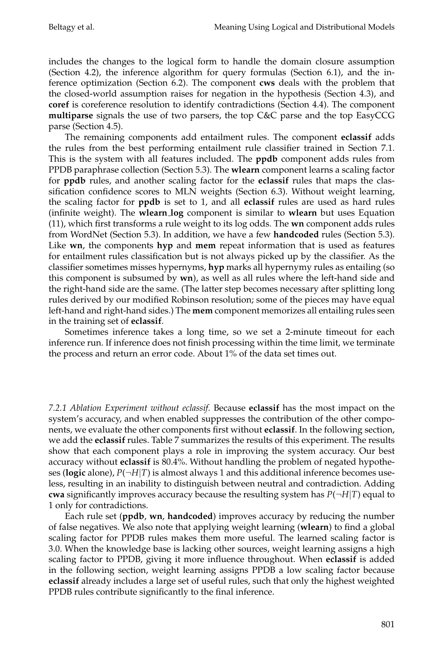includes the changes to the logical form to handle the domain closure assumption (Section 4.2), the inference algorithm for query formulas (Section 6.1), and the inference optimization (Section 6.2). The component **cws** deals with the problem that the closed-world assumption raises for negation in the hypothesis (Section 4.3), and **coref** is coreference resolution to identify contradictions (Section 4.4). The component **multiparse** signals the use of two parsers, the top C&C parse and the top EasyCCG parse (Section 4.5).

The remaining components add entailment rules. The component **eclassif** adds the rules from the best performing entailment rule classifier trained in Section 7.1. This is the system with all features included. The **ppdb** component adds rules from PPDB paraphrase collection (Section 5.3). The **wlearn** component learns a scaling factor for **ppdb** rules, and another scaling factor for the **eclassif** rules that maps the classification confidence scores to MLN weights (Section 6.3). Without weight learning, the scaling factor for **ppdb** is set to 1, and all **eclassif** rules are used as hard rules (infinite weight). The **wlearn log** component is similar to **wlearn** but uses Equation (11), which first transforms a rule weight to its log odds. The **wn** component adds rules from WordNet (Section 5.3). In addition, we have a few **handcoded** rules (Section 5.3). Like **wn**, the components **hyp** and **mem** repeat information that is used as features for entailment rules classification but is not always picked up by the classifier. As the classifier sometimes misses hypernyms, **hyp** marks all hypernymy rules as entailing (so this component is subsumed by **wn**), as well as all rules where the left-hand side and the right-hand side are the same. (The latter step becomes necessary after splitting long rules derived by our modified Robinson resolution; some of the pieces may have equal left-hand and right-hand sides.) The **mem** component memorizes all entailing rules seen in the training set of **eclassif**.

Sometimes inference takes a long time, so we set a 2-minute timeout for each inference run. If inference does not finish processing within the time limit, we terminate the process and return an error code. About 1% of the data set times out.

*7.2.1 Ablation Experiment without eclassif.* Because **eclassif** has the most impact on the system's accuracy, and when enabled suppresses the contribution of the other components, we evaluate the other components first without **eclassif**. In the following section, we add the **eclassif** rules. Table 7 summarizes the results of this experiment. The results show that each component plays a role in improving the system accuracy. Our best accuracy without **eclassif** is 80.4%. Without handling the problem of negated hypotheses (logic alone),  $P(\neg H|T)$  is almost always 1 and this additional inference becomes useless, resulting in an inability to distinguish between neutral and contradiction. Adding **cwa** significantly improves accuracy because the resulting system has  $P(\neg H|T)$  equal to 1 only for contradictions.

Each rule set (**ppdb**, **wn**, **handcoded**) improves accuracy by reducing the number of false negatives. We also note that applying weight learning (**wlearn**) to find a global scaling factor for PPDB rules makes them more useful. The learned scaling factor is 3.0. When the knowledge base is lacking other sources, weight learning assigns a high scaling factor to PPDB, giving it more influence throughout. When **eclassif** is added in the following section, weight learning assigns PPDB a low scaling factor because **eclassif** already includes a large set of useful rules, such that only the highest weighted PPDB rules contribute significantly to the final inference.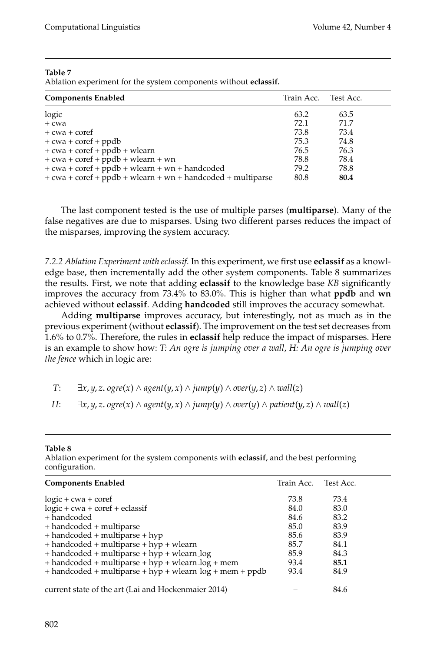| Abiation experiment for the system components without eclassit.           |            |           |  |  |
|---------------------------------------------------------------------------|------------|-----------|--|--|
| <b>Components Enabled</b>                                                 | Train Acc. | Test Acc. |  |  |
| logic                                                                     | 63.2       | 63.5      |  |  |
| + cwa                                                                     | 72.1       | 71.7      |  |  |
| $+ cwa + coref$                                                           | 73.8       | 73.4      |  |  |
| $+$ cwa $+$ coref $+$ ppdb                                                | 75.3       | 74.8      |  |  |
| $+$ cwa $+$ coref $+$ ppdb $+$ wlearn                                     | 76.5       | 76.3      |  |  |
| $+ cwa + coref + ppdb + wlearn + wn$                                      | 78.8       | 78.4      |  |  |
| + cwa + coref + ppdb + wlearn + wn + handcoded                            | 79.2       | 78.8      |  |  |
| $+$ cwa $+$ coref $+$ ppdb $+$ wlearn $+$ wn $+$ handcoded $+$ multiparse | 80.8       | 80.4      |  |  |

Ablation experiment for the system components without **eclassif.**

The last component tested is the use of multiple parses (**multiparse**). Many of the false negatives are due to misparses. Using two different parses reduces the impact of the misparses, improving the system accuracy.

*7.2.2 Ablation Experiment with eclassif.* In this experiment, we first use **eclassif** as a knowledge base, then incrementally add the other system components. Table 8 summarizes the results. First, we note that adding **eclassif** to the knowledge base *KB* significantly improves the accuracy from 73.4% to 83.0%. This is higher than what **ppdb** and **wn** achieved without **eclassif**. Adding **handcoded** still improves the accuracy somewhat.

Adding **multiparse** improves accuracy, but interestingly, not as much as in the previous experiment (without **eclassif**). The improvement on the test set decreases from 1.6% to 0.7%. Therefore, the rules in **eclassif** help reduce the impact of misparses. Here is an example to show how: *T: An ogre is jumping over a wall*, *H: An ogre is jumping over the fence* which in logic are:

*T*:  $\exists x, y, z$ . *ogre*(*x*) ∧ *agent*(*y*, *x*) ∧ *jump*(*y*) ∧ *over*(*y*, *z*) ∧ *wall*(*z*)

H: 
$$
\exists x, y, z \cdot ogre(x) \land agent(y, x) \land jump(y) \land over(y) \land patient(y, z) \land wall(z)
$$

#### **Table 8**

Ablation experiment for the system components with **eclassif**, and the best performing configuration.

| <b>Components Enabled</b>                                   | Train Acc. | Test Acc. |
|-------------------------------------------------------------|------------|-----------|
| $logic + cwa + coref$                                       | 73.8       | 73.4      |
| $logic + cwa + coref + eclassif$                            | 84.0       | 83.0      |
| + handcoded                                                 | 84.6       | 83.2      |
| + handcoded + multiparse                                    | 85.0       | 83.9      |
| + handcoded + multiparse + hyp                              | 85.6       | 83.9      |
| $+$ handcoded $+$ multiparse $+$ hyp $+$ wlearn             | 85.7       | 84.1      |
| + handcoded + multiparse + hyp + wlearn_log                 | 85.9       | 84.3      |
| $+$ handcoded $+$ multiparse $+$ hyp $+$ wlearn $log +$ mem | 93.4       | 85.1      |
| + handcoded + multiparse + hyp + wlearn_log + mem + ppdb    | 93.4       | 84.9      |
| current state of the art (Lai and Hockenmaier 2014)         |            | 84.6      |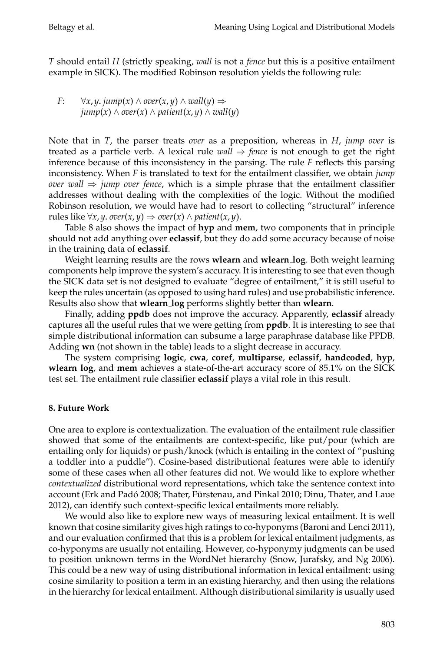*T* should entail *H* (strictly speaking, *wall* is not a *fence* but this is a positive entailment example in SICK). The modified Robinson resolution yields the following rule:

*F*:  $\forall x, y \in \text{jump}(x) \land \text{over}(x, y) \land \text{wall}(y) \Rightarrow$ *jump*(*x*) ∧ *over*(*x*) ∧ *patient*(*x*, *y*) ∧ *wall*(*y*)

Note that in *T*, the parser treats *over* as a preposition, whereas in *H*, *jump over* is treated as a particle verb. A lexical rule *wall* ⇒ *fence* is not enough to get the right inference because of this inconsistency in the parsing. The rule *F* reflects this parsing inconsistency. When *F* is translated to text for the entailment classifier, we obtain *jump over wall* ⇒ *jump over fence*, which is a simple phrase that the entailment classifier addresses without dealing with the complexities of the logic. Without the modified Robinson resolution, we would have had to resort to collecting "structural" inference *rules like*  $∀x, y. over(x, y) ⇒ over(x) ∧ patient(x, y).$ 

Table 8 also shows the impact of **hyp** and **mem**, two components that in principle should not add anything over **eclassif**, but they do add some accuracy because of noise in the training data of **eclassif**.

Weight learning results are the rows **wlearn** and **wlearn log**. Both weight learning components help improve the system's accuracy. It is interesting to see that even though the SICK data set is not designed to evaluate "degree of entailment," it is still useful to keep the rules uncertain (as opposed to using hard rules) and use probabilistic inference. Results also show that **wlearn log** performs slightly better than **wlearn**.

Finally, adding **ppdb** does not improve the accuracy. Apparently, **eclassif** already captures all the useful rules that we were getting from **ppdb**. It is interesting to see that simple distributional information can subsume a large paraphrase database like PPDB. Adding **wn** (not shown in the table) leads to a slight decrease in accuracy.

The system comprising **logic**, **cwa**, **coref**, **multiparse**, **eclassif**, **handcoded**, **hyp**, **wlearn log**, and **mem** achieves a state-of-the-art accuracy score of 85.1% on the SICK test set. The entailment rule classifier **eclassif** plays a vital role in this result.

# **8. Future Work**

One area to explore is contextualization. The evaluation of the entailment rule classifier showed that some of the entailments are context-specific, like put/pour (which are entailing only for liquids) or push/knock (which is entailing in the context of "pushing a toddler into a puddle"). Cosine-based distributional features were able to identify some of these cases when all other features did not. We would like to explore whether *contextualized* distributional word representations, which take the sentence context into account (Erk and Padó 2008; Thater, Fürstenau, and Pinkal 2010; Dinu, Thater, and Laue 2012), can identify such context-specific lexical entailments more reliably.

We would also like to explore new ways of measuring lexical entailment. It is well known that cosine similarity gives high ratings to co-hyponyms (Baroni and Lenci 2011), and our evaluation confirmed that this is a problem for lexical entailment judgments, as co-hyponyms are usually not entailing. However, co-hyponymy judgments can be used to position unknown terms in the WordNet hierarchy (Snow, Jurafsky, and Ng 2006). This could be a new way of using distributional information in lexical entailment: using cosine similarity to position a term in an existing hierarchy, and then using the relations in the hierarchy for lexical entailment. Although distributional similarity is usually used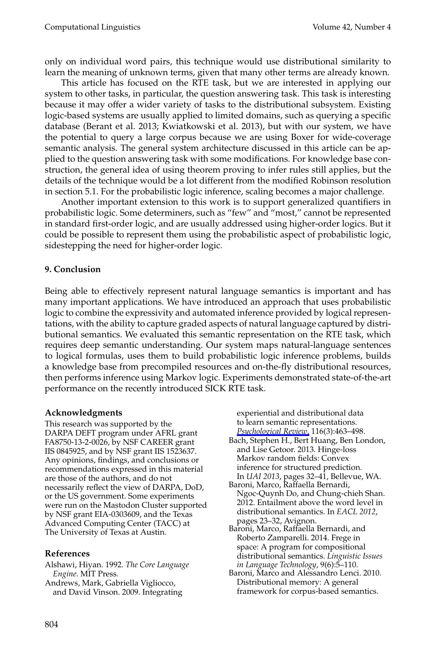only on individual word pairs, this technique would use distributional similarity to learn the meaning of unknown terms, given that many other terms are already known.

This article has focused on the RTE task, but we are interested in applying our system to other tasks, in particular, the question answering task. This task is interesting because it may offer a wider variety of tasks to the distributional subsystem. Existing logic-based systems are usually applied to limited domains, such as querying a specific database (Berant et al. 2013; Kwiatkowski et al. 2013), but with our system, we have the potential to query a large corpus because we are using Boxer for wide-coverage semantic analysis. The general system architecture discussed in this article can be applied to the question answering task with some modifications. For knowledge base construction, the general idea of using theorem proving to infer rules still applies, but the details of the technique would be a lot different from the modified Robinson resolution in section 5.1. For the probabilistic logic inference, scaling becomes a major challenge.

Another important extension to this work is to support generalized quantifiers in probabilistic logic. Some determiners, such as "few" and "most," cannot be represented in standard first-order logic, and are usually addressed using higher-order logics. But it could be possible to represent them using the probabilistic aspect of probabilistic logic, sidestepping the need for higher-order logic.

#### **9. Conclusion**

Being able to effectively represent natural language semantics is important and has many important applications. We have introduced an approach that uses probabilistic logic to combine the expressivity and automated inference provided by logical representations, with the ability to capture graded aspects of natural language captured by distributional semantics. We evaluated this semantic representation on the RTE task, which requires deep semantic understanding. Our system maps natural-language sentences to logical formulas, uses them to build probabilistic logic inference problems, builds a knowledge base from precompiled resources and on-the-fly distributional resources, then performs inference using Markov logic. Experiments demonstrated state-of-the-art performance on the recently introduced SICK RTE task.

#### **Acknowledgments**

This research was supported by the DARPA DEFT program under AFRL grant FA8750-13-2-0026, by NSF CAREER grant IIS 0845925, and by NSF grant IIS 1523637. Any opinions, findings, and conclusions or recommendations expressed in this material are those of the authors, and do not necessarily reflect the view of DARPA, DoD, or the US government. Some experiments were run on the Mastodon Cluster supported by NSF grant EIA-0303609, and the Texas Advanced Computing Center (TACC) at The University of Texas at Austin.

#### **References**

Alshawi, Hiyan. 1992. *The Core Language Engine*. MIT Press.

Andrews, Mark, Gabriella Vigliocco, and David Vinson. 2009. Integrating experiential and distributional data to learn semantic representations. *[Psychological Review](http://www.mitpressjournals.org/action/showLinks?crossref=10.1037%2Fa0016261)*, 116(3):463–498.

- Bach, Stephen H., Bert Huang, Ben London, and Lise Getoor. 2013. Hinge-loss Markov random fields: Convex inference for structured prediction. In *UAI 2013*, pages 32–41, Bellevue, WA.
- Baroni, Marco, Raffaella Bernardi, Ngoc-Quynh Do, and Chung-chieh Shan. 2012. Entailment above the word level in distributional semantics. In *EACL 2012*, pages 23–32, Avignon.
- Baroni, Marco, Raffaella Bernardi, and Roberto Zamparelli. 2014. Frege in space: A program for compositional distributional semantics. *Linguistic Issues in Language Technology*, 9(6):5–110.
- Baroni, Marco and Alessandro Lenci. 2010. Distributional memory: A general framework for corpus-based semantics.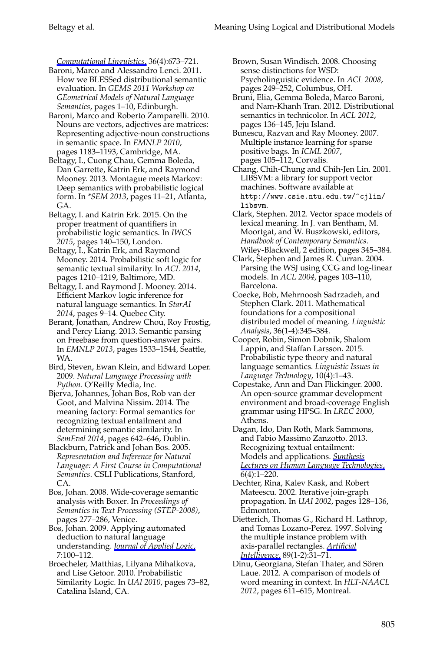*[Computational Linguistics](http://www.mitpressjournals.org/action/showLinks?system=10.1162%2Fcoli_a_00016)*, 36(4):673–721.

- Baroni, Marco and Alessandro Lenci. 2011. How we BLESSed distributional semantic evaluation. In *GEMS 2011 Workshop on GEometrical Models of Natural Language Semantics*, pages 1–10, Edinburgh.
- Baroni, Marco and Roberto Zamparelli. 2010. Nouns are vectors, adjectives are matrices: Representing adjective-noun constructions in semantic space. In *EMNLP 2010*, pages 1183–1193, Cambridge, MA.
- Beltagy, I., Cuong Chau, Gemma Boleda, Dan Garrette, Katrin Erk, and Raymond Mooney. 2013. Montague meets Markov: Deep semantics with probabilistic logical form. In *\*SEM 2013*, pages 11–21, Atlanta, GA.
- Beltagy, I. and Katrin Erk. 2015. On the proper treatment of quantifiers in probabilistic logic semantics. In *IWCS 2015*, pages 140–150, London.
- Beltagy, I., Katrin Erk, and Raymond Mooney. 2014. Probabilistic soft logic for semantic textual similarity. In *ACL 2014*, pages 1210–1219, Baltimore, MD.
- Beltagy, I. and Raymond J. Mooney. 2014. Efficient Markov logic inference for natural language semantics. In *StarAI 2014*, pages 9–14. Quebec City.
- Berant, Jonathan, Andrew Chou, Roy Frostig, and Percy Liang. 2013. Semantic parsing on Freebase from question-answer pairs. In *EMNLP 2013*, pages 1533–1544, Seattle, WA.
- Bird, Steven, Ewan Klein, and Edward Loper. 2009. *Natural Language Processing with Python*. O'Reilly Media, Inc.
- Bjerva, Johannes, Johan Bos, Rob van der Goot, and Malvina Nissim. 2014. The meaning factory: Formal semantics for recognizing textual entailment and determining semantic similarity. In *SemEval 2014*, pages 642–646, Dublin.
- Blackburn, Patrick and Johan Bos. 2005. *Representation and Inference for Natural Language: A First Course in Computational Semantics*. CSLI Publications, Stanford, CA.
- Bos, Johan. 2008. Wide-coverage semantic analysis with Boxer. In *Proceedings of Semantics in Text Processing (STEP-2008)*, pages 277–286, Venice.
- Bos, Johan. 2009. Applying automated deduction to natural language understanding. *[Journal of Applied Logic](http://www.mitpressjournals.org/action/showLinks?crossref=10.1016%2Fj.jal.2007.07.008)*, 7:100–112.
- Broecheler, Matthias, Lilyana Mihalkova, and Lise Getoor. 2010. Probabilistic Similarity Logic. In *UAI 2010*, pages 73–82, Catalina Island, CA.
- Brown, Susan Windisch. 2008. Choosing sense distinctions for WSD: Psycholinguistic evidence. In *ACL 2008*, pages 249–252, Columbus, OH.
- Bruni, Elia, Gemma Boleda, Marco Baroni, and Nam-Khanh Tran. 2012. Distributional semantics in technicolor. In *ACL 2012*, pages 136–145, Jeju Island.
- Bunescu, Razvan and Ray Mooney. 2007. Multiple instance learning for sparse positive bags. In *ICML 2007*, pages 105–112, Corvalis.
- Chang, Chih-Chung and Chih-Jen Lin. 2001. LIBSVM: a library for support vector machines. Software available at http://www.csie.ntu.edu.tw/~cjlin/ libsvm.
- Clark, Stephen. 2012. Vector space models of lexical meaning. In J. van Bentham, M. Moortgat, and W. Buszkowski, editors, *Handbook of Contemporary Semantics*. Wiley-Blackwell, 2 edition, pages 345–384.
- Clark, Stephen and James R. Curran. 2004. Parsing the WSJ using CCG and log-linear models. In *ACL 2004*, pages 103–110, Barcelona.
- Coecke, Bob, Mehrnoosh Sadrzadeh, and Stephen Clark. 2011. Mathematical foundations for a compositional distributed model of meaning. *Linguistic Analysis*, 36(1-4):345–384.
- Cooper, Robin, Simon Dobnik, Shalom Lappin, and Staffan Larsson. 2015. Probabilistic type theory and natural language semantics. *Linguistic Issues in Language Technology*, 10(4):1–43.
- Copestake, Ann and Dan Flickinger. 2000. An open-source grammar development environment and broad-coverage English grammar using HPSG. In *LREC 2000*, Athens.
- Dagan, Ido, Dan Roth, Mark Sammons, and Fabio Massimo Zanzotto. 2013. Recognizing textual entailment: Models and applications. *[Synthesis](http://www.mitpressjournals.org/action/showLinks?crossref=10.2200%2FS00509ED1V01Y201305HLT023) [Lectures on Human Language Technologies](http://www.mitpressjournals.org/action/showLinks?crossref=10.2200%2FS00509ED1V01Y201305HLT023)*, 6(4):1–220.
- Dechter, Rina, Kalev Kask, and Robert Mateescu. 2002. Iterative join-graph propagation. In *UAI 2002*, pages 128–136, Edmonton.
- Dietterich, Thomas G., Richard H. Lathrop, and Tomas Lozano-Perez. 1997. Solving the multiple instance problem with axis-parallel rectangles. *[Artificial](http://www.mitpressjournals.org/action/showLinks?crossref=10.1016%2FS0004-3702%2896%2900034-3) [Intelligence](http://www.mitpressjournals.org/action/showLinks?crossref=10.1016%2FS0004-3702%2896%2900034-3)*, 89(1-2):31–71.
- Dinu, Georgiana, Stefan Thater, and Sören Laue. 2012. A comparison of models of word meaning in context. In *HLT-NAACL 2012*, pages 611–615, Montreal.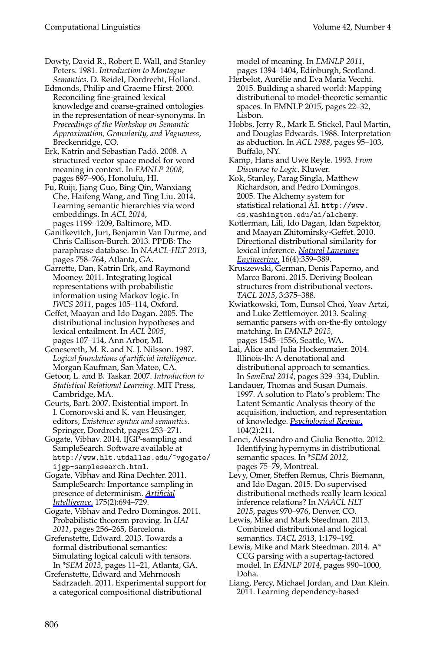Dowty, David R., Robert E. Wall, and Stanley Peters. 1981. *Introduction to Montague Semantics*. D. Reidel, Dordrecht, Holland.

Edmonds, Philip and Graeme Hirst. 2000. Reconciling fine-grained lexical knowledge and coarse-grained ontologies in the representation of near-synonyms. In *Proceedings of the Workshop on Semantic Approximation, Granularity, and Vagueness*, Breckenridge, CO.

Erk, Katrin and Sebastian Padó. 2008. A structured vector space model for word meaning in context. In *EMNLP 2008*, pages 897–906, Honolulu, HI.

Fu, Ruiji, Jiang Guo, Bing Qin, Wanxiang Che, Haifeng Wang, and Ting Liu. 2014. Learning semantic hierarchies via word embeddings. In *ACL 2014*, pages 1199–1209, Baltimore, MD.

Ganitkevitch, Juri, Benjamin Van Durme, and Chris Callison-Burch. 2013. PPDB: The paraphrase database. In *NAACL-HLT 2013*, pages 758–764, Atlanta, GA.

Garrette, Dan, Katrin Erk, and Raymond Mooney. 2011. Integrating logical representations with probabilistic information using Markov logic. In *IWCS 2011*, pages 105–114, Oxford.

Geffet, Maayan and Ido Dagan. 2005. The distributional inclusion hypotheses and lexical entailment. In *ACL 2005*, pages 107–114, Ann Arbor, MI.

Genesereth, M. R. and N. J. Nilsson. 1987. *Logical foundations of artificial intelligence*. Morgan Kaufman, San Mateo, CA.

Getoor, L. and B. Taskar. 2007. *Introduction to Statistical Relational Learning*. MIT Press, Cambridge, MA.

Geurts, Bart. 2007. Existential import. In I. Comorovski and K. van Heusinger, editors, *Existence: syntax and semantics*. Springer, Dordrecht, pages 253–271.

Gogate, Vibhav. 2014. IJGP-sampling and SampleSearch. Software available at http://www.hlt.utdallas.edu/~vgogate/ ijgp-samplesearch.html.

Gogate, Vibhav and Rina Dechter. 2011. SampleSearch: Importance sampling in presence of determinism. *[Artificial](http://www.mitpressjournals.org/action/showLinks?crossref=10.1016%2Fj.artint.2010.10.009) [Intelligence](http://www.mitpressjournals.org/action/showLinks?crossref=10.1016%2Fj.artint.2010.10.009)*, 175(2):694–729.

Gogate, Vibhav and Pedro Domingos. 2011. Probabilistic theorem proving. In *UAI 2011*, pages 256–265, Barcelona.

Grefenstette, Edward. 2013. Towards a formal distributional semantics: Simulating logical calculi with tensors. In *\*SEM 2013*, pages 11–21, Atlanta, GA.

Grefenstette, Edward and Mehrnoosh Sadrzadeh. 2011. Experimental support for a categorical compositional distributional

model of meaning. In *EMNLP 2011*, pages 1394–1404, Edinburgh, Scotland.

- Herbelot, Aurélie and Eva Maria Vecchi. 2015. Building a shared world: Mapping distributional to model-theoretic semantic spaces. In EMNLP 2015, pages 22–32, Lisbon.
- Hobbs, Jerry R., Mark E. Stickel, Paul Martin, and Douglas Edwards. 1988. Interpretation as abduction. In *ACL 1988*, pages 95–103, Buffalo, NY.
- Kamp, Hans and Uwe Reyle. 1993. *From Discourse to Logic*. Kluwer.

Kok, Stanley, Parag Singla, Matthew Richardson, and Pedro Domingos. 2005. The Alchemy system for statistical relational AI. http://www. cs.washington.edu/ai/alchemy.

Kotlerman, Lili, Ido Dagan, Idan Szpektor, and Maayan Zhitomirsky-Geffet. 2010. Directional distributional similarity for lexical inference. *[Natural Language](http://www.mitpressjournals.org/action/showLinks?crossref=10.1017%2FS1351324910000124) [Engineering](http://www.mitpressjournals.org/action/showLinks?crossref=10.1017%2FS1351324910000124)*, 16(4):359–389.

Kruszewski, German, Denis Paperno, and Marco Baroni. 2015. Deriving Boolean structures from distributional vectors. *TACL 2015*, 3:375–388.

Kwiatkowski, Tom, Eunsol Choi, Yoav Artzi, and Luke Zettlemoyer. 2013. Scaling semantic parsers with on-the-fly ontology matching. In *EMNLP 2013*, pages 1545–1556, Seattle, WA.

Lai, Alice and Julia Hockenmaier. 2014. Illinois-lh: A denotational and distributional approach to semantics. In *SemEval 2014*, pages 329–334, Dublin.

Landauer, Thomas and Susan Dumais. 1997. A solution to Plato's problem: The Latent Semantic Analysis theory of the acquisition, induction, and representation of knowledge. *[Psychological Review](http://www.mitpressjournals.org/action/showLinks?crossref=10.1037%2F0033-295X.104.2.211)*, 104(2):211.

Lenci, Alessandro and Giulia Benotto. 2012. Identifying hypernyms in distributional semantic spaces. In *\*SEM 2012*, pages 75–79, Montreal.

Levy, Omer, Steffen Remus, Chris Biemann, and Ido Dagan. 2015. Do supervised distributional methods really learn lexical inference relations? In *NAACL HLT 2015*, pages 970–976, Denver, CO.

Lewis, Mike and Mark Steedman. 2013. Combined distributional and logical semantics. *TACL 2013*, 1:179–192.

Lewis, Mike and Mark Steedman. 2014. A\* CCG parsing with a supertag-factored model. In *EMNLP 2014*, pages 990–1000, Doha.

Liang, Percy, Michael Jordan, and Dan Klein. 2011. Learning dependency-based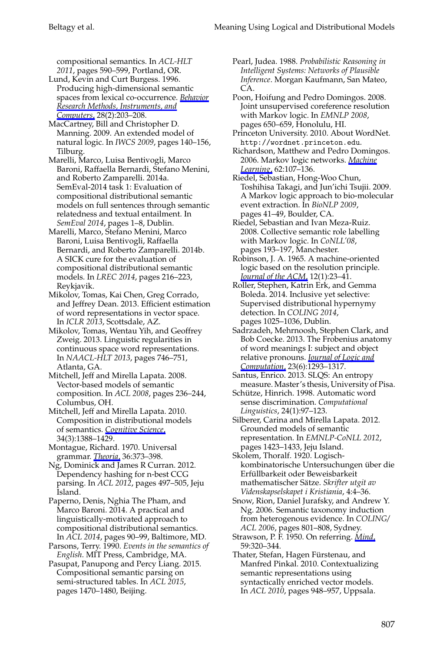compositional semantics. In *ACL-HLT 2011*, pages 590–599, Portland, OR.

- Lund, Kevin and Curt Burgess. 1996. Producing high-dimensional semantic spaces from lexical co-occurrence. *[Behavior](http://www.mitpressjournals.org/action/showLinks?crossref=10.3758%2FBF03204766) [Research Methods, Instruments, and](http://www.mitpressjournals.org/action/showLinks?crossref=10.3758%2FBF03204766) [Computers](http://www.mitpressjournals.org/action/showLinks?crossref=10.3758%2FBF03204766)*, 28(2):203–208.
- MacCartney, Bill and Christopher D. Manning. 2009. An extended model of natural logic. In *IWCS 2009*, pages 140–156, Tilburg.
- Marelli, Marco, Luisa Bentivogli, Marco Baroni, Raffaella Bernardi, Stefano Menini, and Roberto Zamparelli. 2014a. SemEval-2014 task 1: Evaluation of compositional distributional semantic models on full sentences through semantic relatedness and textual entailment. In *SemEval 2014*, pages 1–8, Dublin.
- Marelli, Marco, Stefano Menini, Marco Baroni, Luisa Bentivogli, Raffaella Bernardi, and Roberto Zamparelli. 2014b. A SICK cure for the evaluation of compositional distributional semantic models. In *LREC 2014*, pages 216–223, Reykjavik.
- Mikolov, Tomas, Kai Chen, Greg Corrado, and Jeffrey Dean. 2013. Efficient estimation of word representations in vector space. In *ICLR 2013*, Scottsdale, AZ.
- Mikolov, Tomas, Wentau Yih, and Geoffrey Zweig. 2013. Linguistic regularities in continuous space word representations. In *NAACL-HLT 2013*, pages 746–751, Atlanta, GA.
- Mitchell, Jeff and Mirella Lapata. 2008. Vector-based models of semantic composition. In *ACL 2008*, pages 236–244, Columbus, OH.
- Mitchell, Jeff and Mirella Lapata. 2010. Composition in distributional models of semantics. *[Cognitive Science](http://www.mitpressjournals.org/action/showLinks?crossref=10.1111%2Fj.1551-6709.2010.01106.x)*, 34(3):1388–1429.
- Montague, Richard. 1970. Universal grammar. *[Theoria](http://www.mitpressjournals.org/action/showLinks?crossref=10.1111%2Fj.1755-2567.1970.tb00434.x)*, 36:373–398.
- Ng, Dominick and James R Curran. 2012. Dependency hashing for n-best CCG parsing. In *ACL 2012*, pages 497–505, Jeju Island.
- Paperno, Denis, Nghia The Pham, and Marco Baroni. 2014. A practical and linguistically-motivated approach to compositional distributional semantics. In *ACL 2014*, pages 90–99, Baltimore, MD.
- Parsons, Terry. 1990. *Events in the semantics of English*. MIT Press, Cambridge, MA.
- Pasupat, Panupong and Percy Liang. 2015. Compositional semantic parsing on semi-structured tables. In *ACL 2015*, pages 1470–1480, Beijing.
- Pearl, Judea. 1988. *Probabilistic Reasoning in Intelligent Systems: Networks of Plausible Inference*. Morgan Kaufmann, San Mateo, CA.
- Poon, Hoifung and Pedro Domingos. 2008. Joint unsupervised coreference resolution with Markov logic. In *EMNLP 2008*, pages 650–659, Honolulu, HI.
- Princeton University. 2010. About WordNet. http://wordnet.princeton.edu.
- Richardson, Matthew and Pedro Domingos. 2006. Markov logic networks. *[Machine](http://www.mitpressjournals.org/action/showLinks?crossref=10.1007%2Fs10994-006-5833-1) [Learning](http://www.mitpressjournals.org/action/showLinks?crossref=10.1007%2Fs10994-006-5833-1)*, 62:107–136.
- Riedel, Sebastian, Hong-Woo Chun, Toshihisa Takagi, and Jun'ichi Tsujii. 2009. A Markov logic approach to bio-molecular event extraction. In *BioNLP 2009*, pages 41–49, Boulder, CA.
- Riedel, Sebastian and Ivan Meza-Ruiz. 2008. Collective semantic role labelling with Markov logic. In *CoNLL'08*, pages 193–197, Manchester.
- Robinson, J. A. 1965. A machine-oriented logic based on the resolution principle. *[Journal of the ACM](http://www.mitpressjournals.org/action/showLinks?crossref=10.1145%2F321250.321253)*, 12(1):23–41.
- Roller, Stephen, Katrin Erk, and Gemma Boleda. 2014. Inclusive yet selective: Supervised distributional hypernymy detection. In *COLING 2014*, pages 1025–1036, Dublin.
- Sadrzadeh, Mehrnoosh, Stephen Clark, and Bob Coecke. 2013. The Frobenius anatomy of word meanings I: subject and object relative pronouns. *[Journal of Logic and](http://www.mitpressjournals.org/action/showLinks?crossref=10.1093%2Flogcom%2Fext044) [Computation](http://www.mitpressjournals.org/action/showLinks?crossref=10.1093%2Flogcom%2Fext044)*, 23(6):1293–1317.
- Santus, Enrico. 2013. SLQS: An entropy measure. Master's thesis, University of Pisa.
- Schütze, Hinrich. 1998. Automatic word sense discrimination. *Computational Linguistics*, 24(1):97–123.
- Silberer, Carina and Mirella Lapata. 2012. Grounded models of semantic representation. In *EMNLP-CoNLL 2012*, pages 1423–1433, Jeju Island.
- Skolem, Thoralf. 1920. Logischkombinatorische Untersuchungen über die Erfüllbarkeit oder Beweisbarkeit mathematischer Sätze. Skrifter utgit av *Videnskapselskapet i Kristiania*, 4:4–36.
- Snow, Rion, Daniel Jurafsky, and Andrew Y. Ng. 2006. Semantic taxonomy induction from heterogenous evidence. In *COLING/ ACL 2006*, pages 801–808, Sydney.
- Strawson, P. F. 1950. On referring. *[Mind](http://www.mitpressjournals.org/action/showLinks?crossref=10.1093%2Fmind%2FLIX.235.320)*, 59:320–344.
- Thater, Stefan, Hagen Fürstenau, and Manfred Pinkal. 2010. Contextualizing semantic representations using syntactically enriched vector models. In *ACL 2010*, pages 948–957, Uppsala.